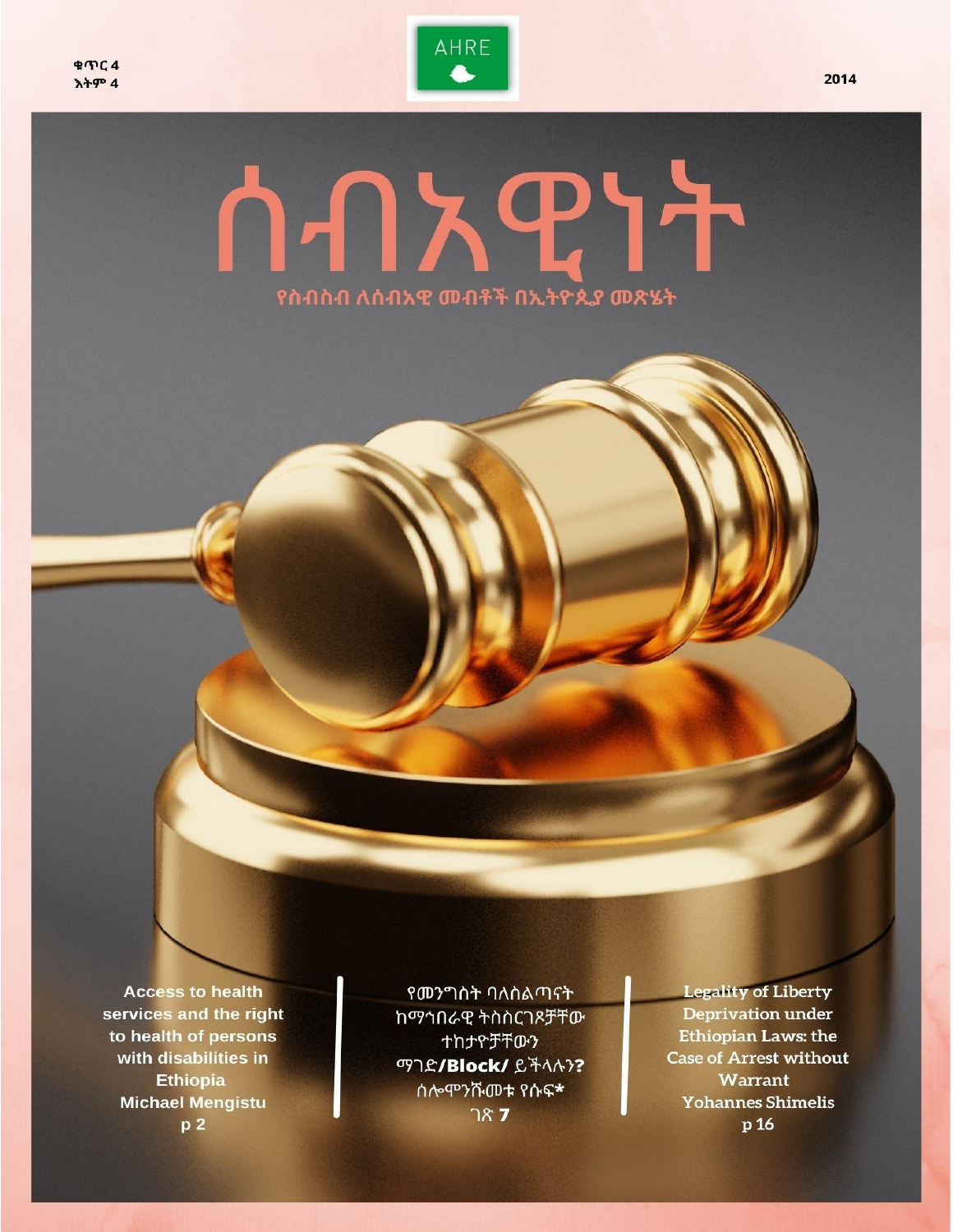

## **PY** à.  $\vert \mathcal{A} \vert \vert$ የስብስብ ለሰብአዊ መብቶች በኢትዮጲያ መጽሄት

**Access to health** services and the right to health of persons with disabilities in **Ethiopia Michael Mengistu**  $p<sub>2</sub>$ 

የመንግስት ባለስልጣናት ከማኅበራዊ ትስስርገጾቻቸው ተከታዮቻቸውን ማገድ/Block/ ይችላሉን? ሰሎሞንሹመቱ የሱፍ\*  $787$ 

**Legality of Liberty Deprivation under Ethiopian Laws: the Case of Arrest without** Warrant **Yohannes Shimelis** p 16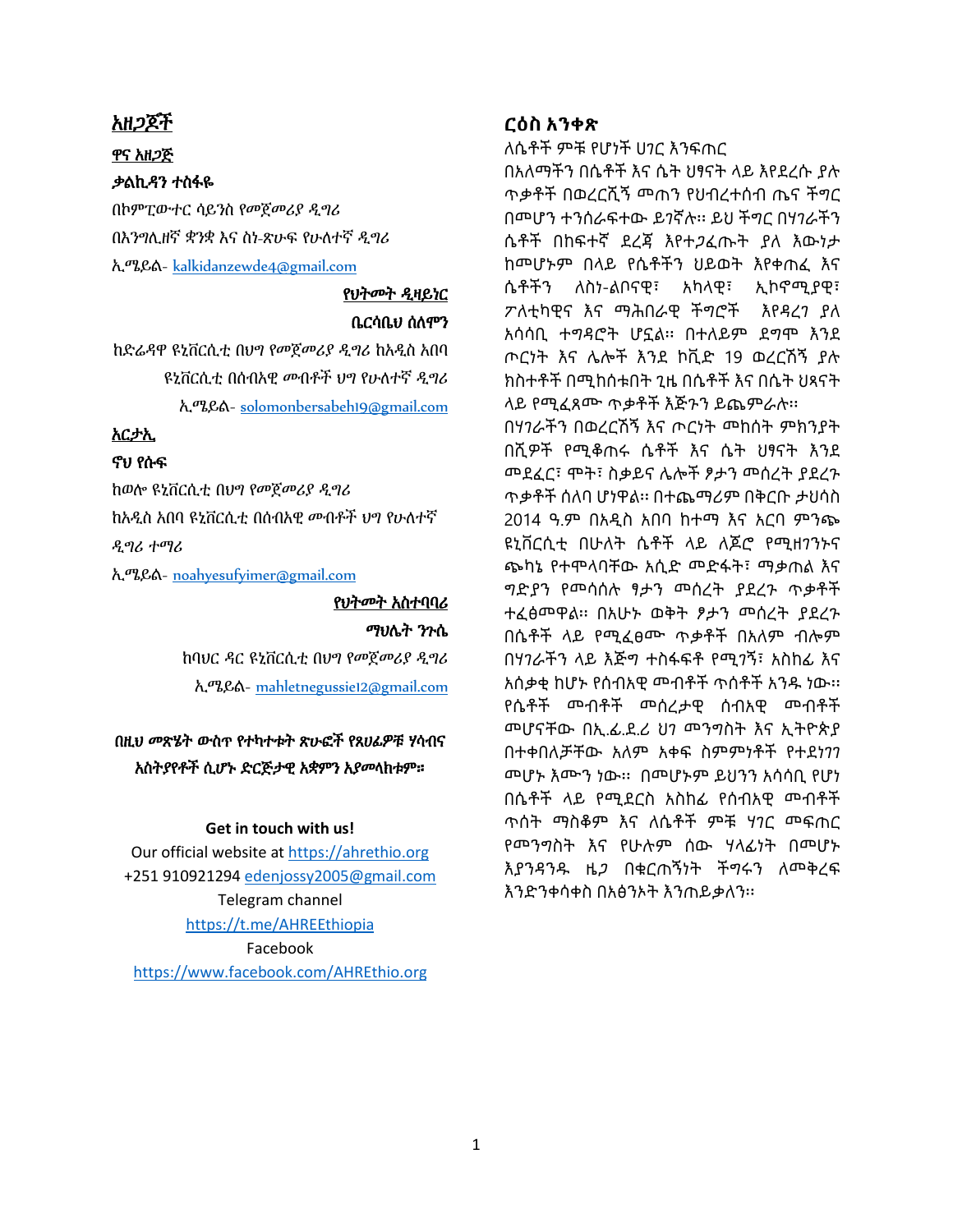#### አዘጋጆች

#### ዋና አዘጋጅ

#### ቃልኪዳን ተስፋዬ

በኮምፒውተር ሳይንስ የመጀመሪያ ዲግሪ በእንግሊዘኛ ቋንቋ እና ስነ-ጽሁፍ የሁለተኛ ዲግሪ ኢሜይል- [kalkidanzewde4@gmail.com](mailto:kalkidanzewde4@gmail.com)

## የህትመት ዲዛይነር ቤርሳቤህ ሰለሞን

ከድሬዳዋ ዩኒቨርሲቲ በህግ የመጀመሪያ ዲግሪ ከአዲስ አበባ ዩኒቨርሲቲ በሰብአዊ መብቶች ህግ የሁለተኛ ዲግሪ ኢሜይል- [solomonbersabeh19@gmail.com](mailto:solomonbersabeh19@gmail.com)

## አርታኢ

## ኖህ የሱፍ

ከወሎ ዩኒቨርሲቲ በህግ የመጀመሪያ ዲግሪ ከአዲስ አበባ ዩኒቨርሲቲ በሰብአዊ መብቶች ህግ የሁለተኛ ዲግሪ ተማሪ

ኢሜይል- [noahyesufyimer@gmail.com](mailto:noahyesufyimer@gmail.com)

## የህትመት አስተባባሪ ማህሌት ንጉሴ

ከባህር ዳር ዩኒቨርሲቲ በህግ የመጀመሪያ ዲግሪ ኢሜይል- [mahletnegussie12@gmail.com](mailto:mahletnegussie12@gmail.com)

## በዚህ መጽሄት ውስጥ የተካተቱት ጽሁፎች የጸሀፊዎቹ ሃሳብና አስትያየቶች ሲሆኑ ድርጅታዊ አቋምን አያመላክቱም።

### **Get in touch with us!**

Our official website at [https://ahrethio.org](https://ahrethio.org/) +251 910921294 [edenjossy2005@gmail.com](mailto:edenjossy2005@gmail.com) Telegram channel <https://t.me/AHREEthiopia> Facebook <https://www.facebook.com/AHREthio.org>

### **ርዕስ አንቀጽ**

ለሴቶች ምቹ የሆነች ሀገር እንፍጠር

በአለማችን በሴቶች እና ሴት ህፃናት ላይ እየደረሱ ያሉ ጥቃቶች በወረርሺኝ መጠን የህብረተሰብ ጤና ችግር በመሆን ተንሰራፍተው ይገኛሉ፡፡ ይህ ችግር በሃገራችን ሴቶች በከፍተኛ ደረጃ እየተጋፈጡት ያለ እውነታ ከመሆኑም በላይ የሴቶችን ህይወት እየቀጠፈ እና ሴቶችን ለስነ-ልቦናዊ፣ አካላዊ፣ ኢኮኖሚያዊ፣ ፖለቲካዊና እና ማሕበራዊ ችግሮች እየዳረገ ያለ አሳሳቢ ተግዳሮት ሆኗል፡፡ በተለይም ደግሞ እንደ ጦርነት እና ሌሎች እንደ ኮቪድ 19 ወረርሽኝ ያሉ ክስተቶች በሚከሰቱበት ጊዜ በሴቶች እና በሴት ህጻናት ላይ የሚፈጸሙ ጥቃቶች እጅጉን ይጨምራሉ፡፡

በሃገራችን በወረርሽኝ እና ጦርነት መከሰት ምክንያት በሺዎች የሚቆጠሩ ሴቶች እና ሴት ህፃናት እንደ መደፈር፣ ሞት፣ ስቃይና ሌሎች ፆታን መሰረት ያደረጉ ጥቃቶች ሰለባ ሆነዋል፡፡ በተጨማሪም በቅርቡ ታህሳስ 2014 ዓ.ም በአዲስ አበባ ከተማ እና አርባ ምንጭ ዩኒቨርሲቲ በሁለት ሴቶች ላይ ለጆሮ የሚዘገንኑና ጭካኔ የተሞላባቸው አሲድ መድፋት፣ ማቃጠል እና ግድያን የመሳሰሉ ፃታን መሰረት ያደረጉ ጥቃቶች ተፈፅመዋል፡፡ በአሁኑ ወቅት ፆታን መሰረት ያደረጉ በሴቶች ላይ የሚፈፀሙ ጥቃቶች በአለም ብሎም በሃገራችን ላይ እጅግ ተስፋፍቶ የሚገኝ፣ አስከፊ እና አሰቃቂ ከሆኑ የሰብአዊ መብቶች ጥሰቶች አንዱ ነው፡፡ የሴቶች መብቶች መሰረታዊ ሰብአዊ መብቶች መሆናቸው በኢ.ፊ.ደ.ሪ ህገ መንግስት እና ኢትዮጵያ በተቀበለቻቸው አለም አቀፍ ስምምነቶች የተደነገገ መሆኑ እሙን ነው፡፡ በመሆኑም ይህንን አሳሳቢ የሆነ በሴቶች ላይ የሚደርስ አስከፊ የሰብአዊ መብቶች ጥሰት ማስቆም እና ለሴቶች ምቹ ሃገር መፍጠር የመንግስት እና የሁሉም ሰው ሃላፊነት በመሆኑ እያንዳንዱ ዜጋ በቁርጠኝነት ችግሩን ለመቅረፍ እንድንቀሳቀስ በአፅንኦት እንጠይቃለን፡፡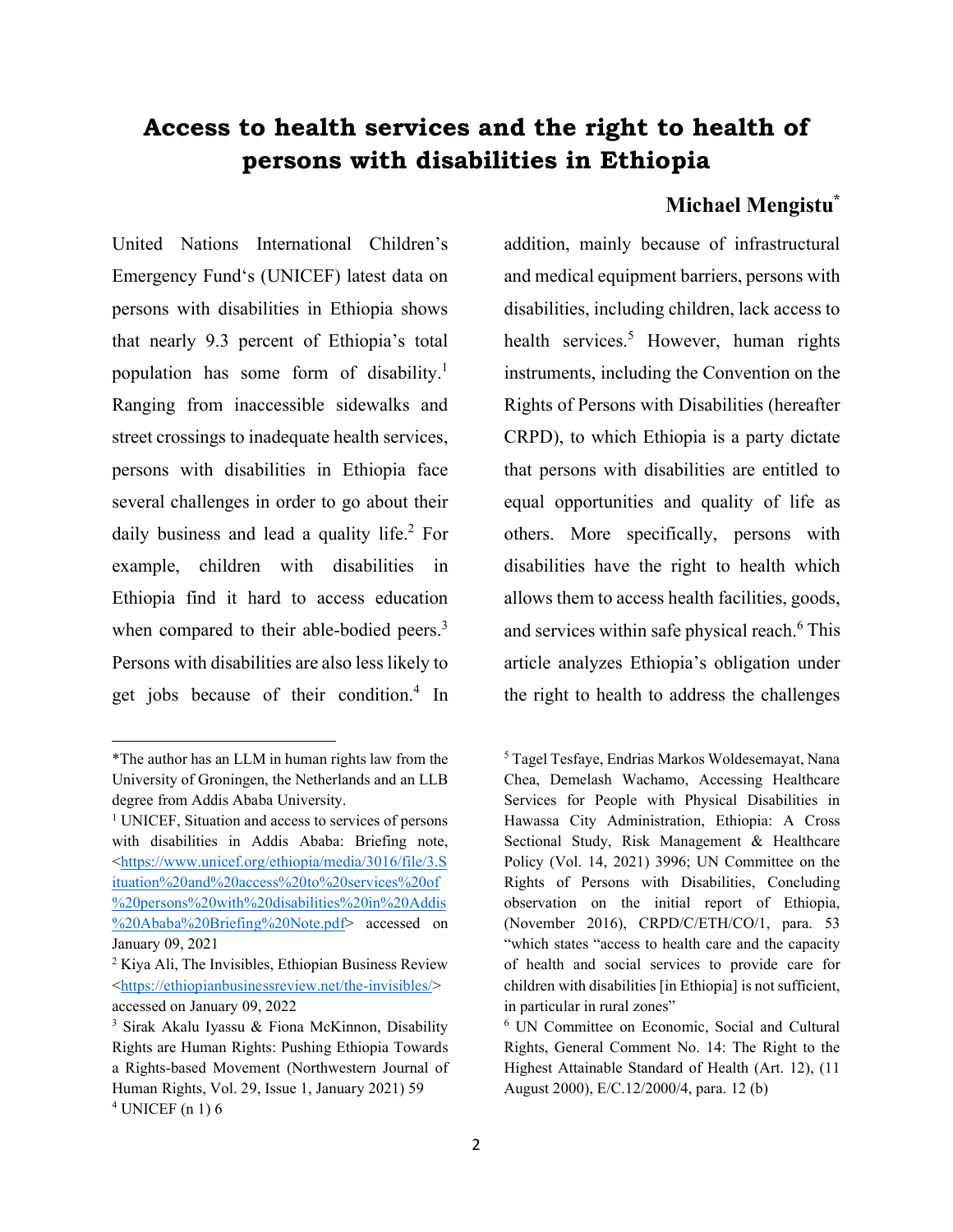## **Access to health services and the right to health of persons with disabilities in Ethiopia**

## **Michael Mengistu\***

United Nations International Children's Emergency Fund's (UNICEF) latest data on persons with disabilities in Ethiopia shows that nearly 9.3 percent of Ethiopia's total population has some form of disability.<sup>1</sup> Ranging from inaccessible sidewalks and street crossings to inadequate health services, persons with disabilities in Ethiopia face several challenges in order to go about their daily business and lead a quality life.<sup>2</sup> For example, children with disabilities in Ethiopia find it hard to access education when compared to their able-bodied peers. $3$ Persons with disabilities are also less likely to get jobs because of their condition.<sup>4</sup> In

addition, mainly because of infrastructural and medical equipment barriers, persons with disabilities, including children, lack access to health services.<sup>5</sup> However, human rights instruments, including the Convention on the Rights of Persons with Disabilities (hereafter CRPD), to which Ethiopia is a party dictate that persons with disabilities are entitled to equal opportunities and quality of life as others. More specifically, persons with disabilities have the right to health which allows them to access health facilities, goods, and services within safe physical reach.<sup>6</sup> This article analyzes Ethiopia's obligation under the right to health to address the challenges

<sup>\*</sup>The author has an LLM in human rights law from the University of Groningen, the Netherlands and an LLB degree from Addis Ababa University.

<sup>&</sup>lt;sup>1</sup> UNICEF, Situation and access to services of persons with disabilities in Addis Ababa: Briefing note, [<https://www.unicef.org/ethiopia/media/3016/file/3.S](https://www.unicef.org/ethiopia/media/3016/file/3.Situation%20and%20access%20to%20services%20of%20persons%20with%20disabilities%20in%20Addis%20Ababa%20Briefing%20Note.pdf) [ituation%20and%20access%20to%20services%20of](https://www.unicef.org/ethiopia/media/3016/file/3.Situation%20and%20access%20to%20services%20of%20persons%20with%20disabilities%20in%20Addis%20Ababa%20Briefing%20Note.pdf) [%20persons%20with%20disabilities%20in%20Addis](https://www.unicef.org/ethiopia/media/3016/file/3.Situation%20and%20access%20to%20services%20of%20persons%20with%20disabilities%20in%20Addis%20Ababa%20Briefing%20Note.pdf) [%20Ababa%20Briefing%20Note.pdf>](https://www.unicef.org/ethiopia/media/3016/file/3.Situation%20and%20access%20to%20services%20of%20persons%20with%20disabilities%20in%20Addis%20Ababa%20Briefing%20Note.pdf) accessed on January 09, 2021

 $2$  Kiya Ali, The Invisibles, Ethiopian Business Review [<https://ethiopianbusinessreview.net/the-invisibles/>](https://ethiopianbusinessreview.net/the-invisibles/) accessed on January 09, 2022

<sup>3</sup> Sirak Akalu Iyassu & Fiona McKinnon, Disability Rights are Human Rights: Pushing Ethiopia Towards a Rights-based Movement (Northwestern Journal of Human Rights, Vol. 29, Issue 1, January 2021) 59

<sup>5</sup> Tagel Tesfaye, Endrias Markos Woldesemayat, Nana Chea, Demelash Wachamo, Accessing Healthcare Services for People with Physical Disabilities in Hawassa City Administration, Ethiopia: A Cross Sectional Study, Risk Management & Healthcare Policy (Vol. 14, 2021) 3996; UN Committee on the Rights of Persons with Disabilities, Concluding observation on the initial report of Ethiopia, (November 2016), CRPD/C/ETH/CO/1, para. 53 "which states "access to health care and the capacity of health and social services to provide care for children with disabilities [in Ethiopia] is not sufficient, in particular in rural zones"

<sup>6</sup> UN Committee on Economic, Social and Cultural Rights, General Comment No. 14: The Right to the Highest Attainable Standard of Health (Art. 12), (11 August 2000), E/C.12/2000/4, para. 12 (b)

 $4$  UNICEF (n 1) 6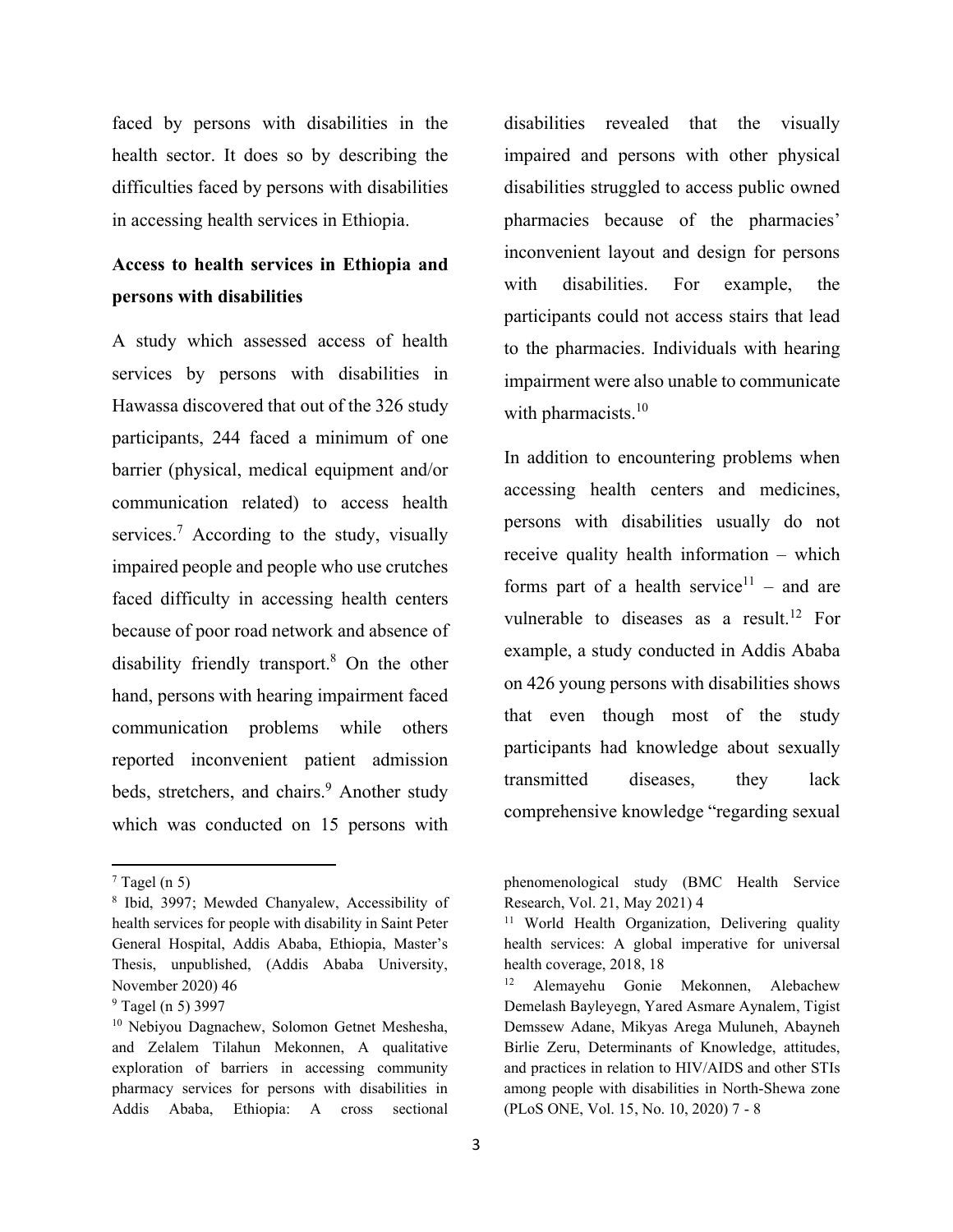faced by persons with disabilities in the health sector. It does so by describing the difficulties faced by persons with disabilities in accessing health services in Ethiopia.

## **Access to health services in Ethiopia and persons with disabilities**

A study which assessed access of health services by persons with disabilities in Hawassa discovered that out of the 326 study participants, 244 faced a minimum of one barrier (physical, medical equipment and/or communication related) to access health services.<sup>7</sup> According to the study, visually impaired people and people who use crutches faced difficulty in accessing health centers because of poor road network and absence of disability friendly transport.<sup>8</sup> On the other hand, persons with hearing impairment faced communication problems while others reported inconvenient patient admission beds, stretchers, and chairs.<sup>9</sup> Another study which was conducted on 15 persons with disabilities revealed that the visually impaired and persons with other physical disabilities struggled to access public owned pharmacies because of the pharmacies' inconvenient layout and design for persons with disabilities. For example, the participants could not access stairs that lead to the pharmacies. Individuals with hearing impairment were also unable to communicate with pharmacists. $10$ 

In addition to encountering problems when accessing health centers and medicines, persons with disabilities usually do not receive quality health information – which forms part of a health service<sup>11</sup> – and are vulnerable to diseases as a result.<sup>12</sup> For example, a study conducted in Addis Ababa on 426 young persons with disabilities shows that even though most of the study participants had knowledge about sexually transmitted diseases, they lack comprehensive knowledge "regarding sexual

 $7$  Tagel (n 5)

<sup>8</sup> Ibid, 3997; Mewded Chanyalew, Accessibility of health services for people with disability in Saint Peter General Hospital, Addis Ababa, Ethiopia, Master's Thesis, unpublished, (Addis Ababa University, November 2020) 46

<sup>9</sup> Tagel (n 5) 3997

<sup>10</sup> Nebiyou Dagnachew, Solomon Getnet Meshesha, and Zelalem Tilahun Mekonnen, A qualitative exploration of barriers in accessing community pharmacy services for persons with disabilities in Addis Ababa, Ethiopia: A cross sectional

phenomenological study (BMC Health Service Research, Vol. 21, May 2021) 4

<sup>&</sup>lt;sup>11</sup> World Health Organization, Delivering quality health services: A global imperative for universal health coverage, 2018, 18

<sup>12</sup> Alemayehu Gonie Mekonnen, Alebachew Demelash Bayleyegn, Yared Asmare Aynalem, Tigist Demssew Adane, Mikyas Arega Muluneh, Abayneh Birlie Zeru, Determinants of Knowledge, attitudes, and practices in relation to HIV/AIDS and other STIs among people with disabilities in North-Shewa zone (PLoS ONE, Vol. 15, No. 10, 2020) 7 - 8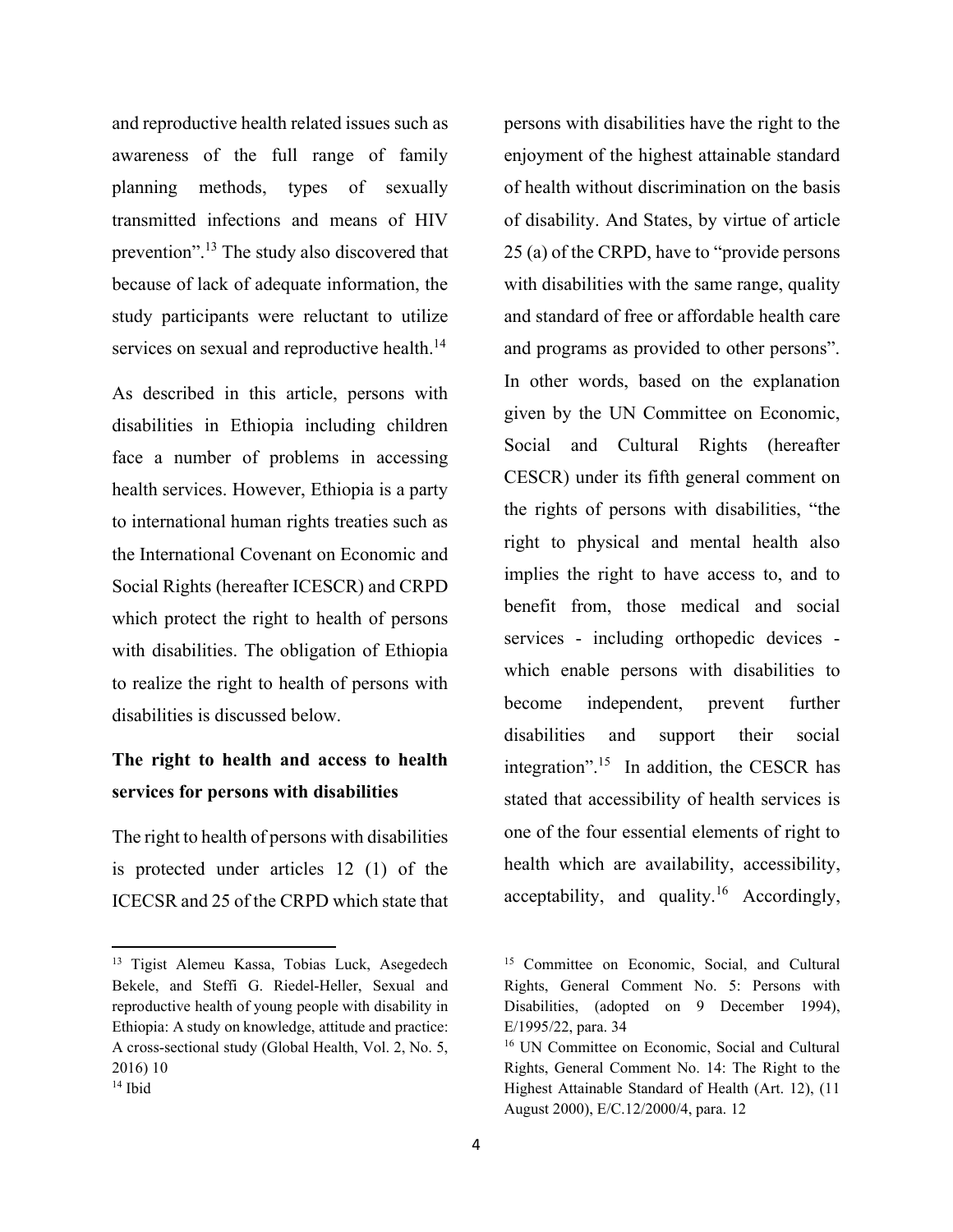and reproductive health related issues such as awareness of the full range of family planning methods, types of sexually transmitted infections and means of HIV prevention".13 The study also discovered that because of lack of adequate information, the study participants were reluctant to utilize services on sexual and reproductive health.<sup>14</sup>

As described in this article, persons with disabilities in Ethiopia including children face a number of problems in accessing health services. However, Ethiopia is a party to international human rights treaties such as the International Covenant on Economic and Social Rights (hereafter ICESCR) and CRPD which protect the right to health of persons with disabilities. The obligation of Ethiopia to realize the right to health of persons with disabilities is discussed below.

## **The right to health and access to health services for persons with disabilities**

The right to health of persons with disabilities is protected under articles 12 (1) of the ICECSR and 25 of the CRPD which state that persons with disabilities have the right to the enjoyment of the highest attainable standard of health without discrimination on the basis of disability. And States, by virtue of article 25 (a) of the CRPD, have to "provide persons with disabilities with the same range, quality and standard of free or affordable health care and programs as provided to other persons". In other words, based on the explanation given by the UN Committee on Economic, Social and Cultural Rights (hereafter CESCR) under its fifth general comment on the rights of persons with disabilities, "the right to physical and mental health also implies the right to have access to, and to benefit from, those medical and social services - including orthopedic devices which enable persons with disabilities to become independent, prevent further disabilities and support their social integration".<sup>15</sup> In addition, the CESCR has stated that accessibility of health services is one of the four essential elements of right to health which are availability, accessibility, acceptability, and quality.<sup>16</sup> Accordingly,

<sup>&</sup>lt;sup>13</sup> Tigist Alemeu Kassa, Tobias Luck, Asegedech Bekele, and Steffi G. Riedel-Heller, Sexual and reproductive health of young people with disability in Ethiopia: A study on knowledge, attitude and practice: A cross-sectional study (Global Health, Vol. 2, No. 5, 2016) 10

<sup>15</sup> Committee on Economic, Social, and Cultural Rights, General Comment No. 5: Persons with Disabilities, (adopted on 9 December 1994), E/1995/22, para. 34

<sup>16</sup> UN Committee on Economic, Social and Cultural Rights, General Comment No. 14: The Right to the Highest Attainable Standard of Health (Art. 12), (11 August 2000), E/C.12/2000/4, para. 12

<sup>14</sup> Ibid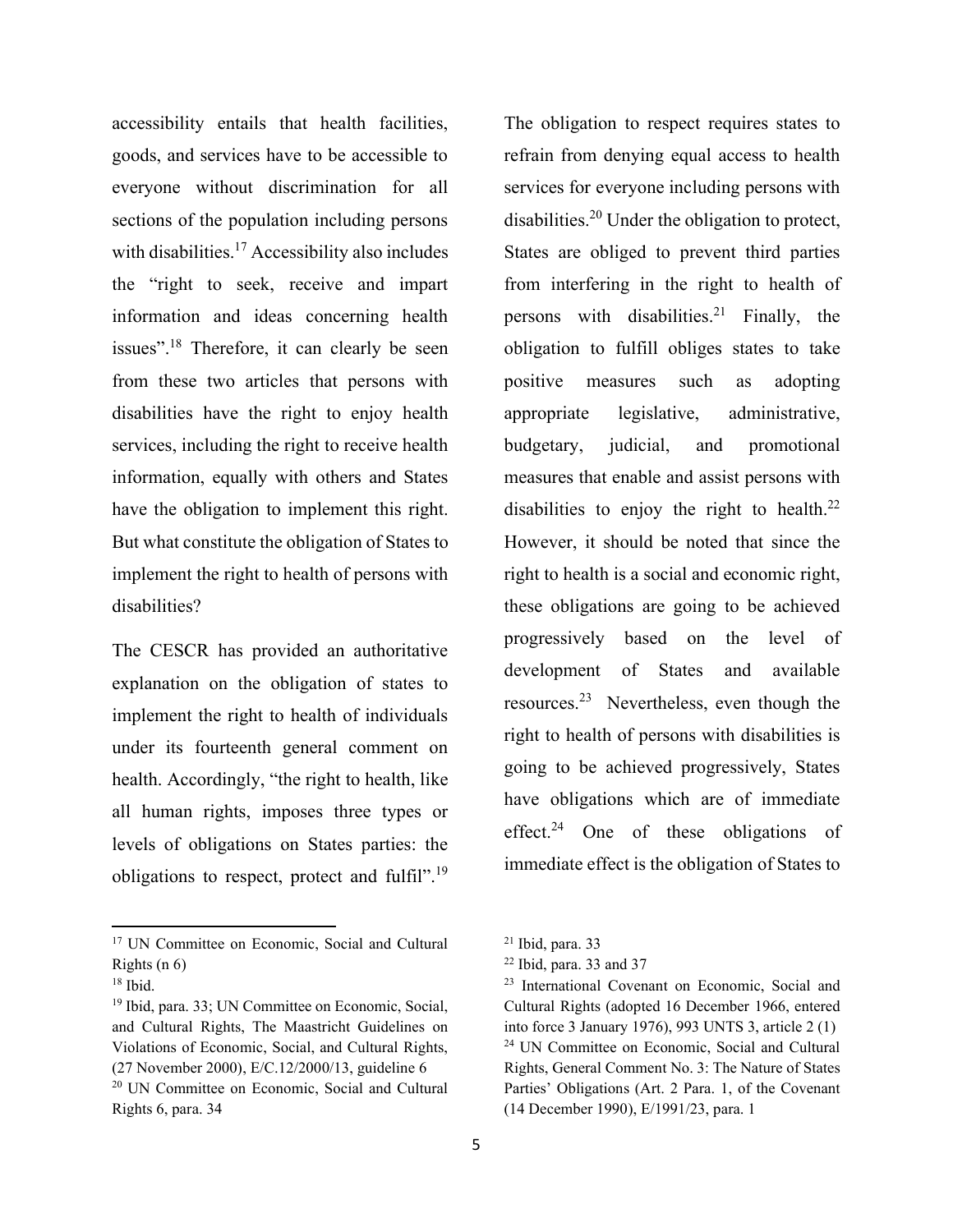accessibility entails that health facilities, goods, and services have to be accessible to everyone without discrimination for all sections of the population including persons with disabilities.<sup>17</sup> Accessibility also includes the "right to seek, receive and impart information and ideas concerning health issues".18 Therefore, it can clearly be seen from these two articles that persons with disabilities have the right to enjoy health services, including the right to receive health information, equally with others and States have the obligation to implement this right. But what constitute the obligation of States to implement the right to health of persons with disabilities?

The CESCR has provided an authoritative explanation on the obligation of states to implement the right to health of individuals under its fourteenth general comment on health. Accordingly, "the right to health, like all human rights, imposes three types or levels of obligations on States parties: the obligations to respect, protect and fulfil".<sup>19</sup>

The obligation to respect requires states to refrain from denying equal access to health services for everyone including persons with disabilities.<sup>20</sup> Under the obligation to protect, States are obliged to prevent third parties from interfering in the right to health of persons with disabilities.<sup>21</sup> Finally, the obligation to fulfill obliges states to take positive measures such as adopting appropriate legislative, administrative, budgetary, judicial, and promotional measures that enable and assist persons with disabilities to enjoy the right to health. $^{22}$ However, it should be noted that since the right to health is a social and economic right, these obligations are going to be achieved progressively based on the level of development of States and available resources.<sup>23</sup> Nevertheless, even though the right to health of persons with disabilities is going to be achieved progressively, States have obligations which are of immediate effect.<sup>24</sup> One of these obligations of immediate effect is the obligation of States to

<sup>&</sup>lt;sup>17</sup> UN Committee on Economic, Social and Cultural Rights (n 6)

<sup>18</sup> Ibid.

<sup>19</sup> Ibid, para. 33; UN Committee on Economic, Social, and Cultural Rights, The Maastricht Guidelines on Violations of Economic, Social, and Cultural Rights, (27 November 2000), E/C.12/2000/13, guideline 6 <sup>20</sup> UN Committee on Economic, Social and Cultural Rights 6, para. 34

 $21$  Ibid, para. 33

 $22$  Ibid, para. 33 and 37

<sup>23</sup> International Covenant on Economic, Social and Cultural Rights (adopted 16 December 1966, entered into force 3 January 1976), 993 UNTS 3, article 2 (1) <sup>24</sup> UN Committee on Economic, Social and Cultural Rights, General Comment No. 3: The Nature of States Parties' Obligations (Art. 2 Para. 1, of the Covenant (14 December 1990), E/1991/23, para. 1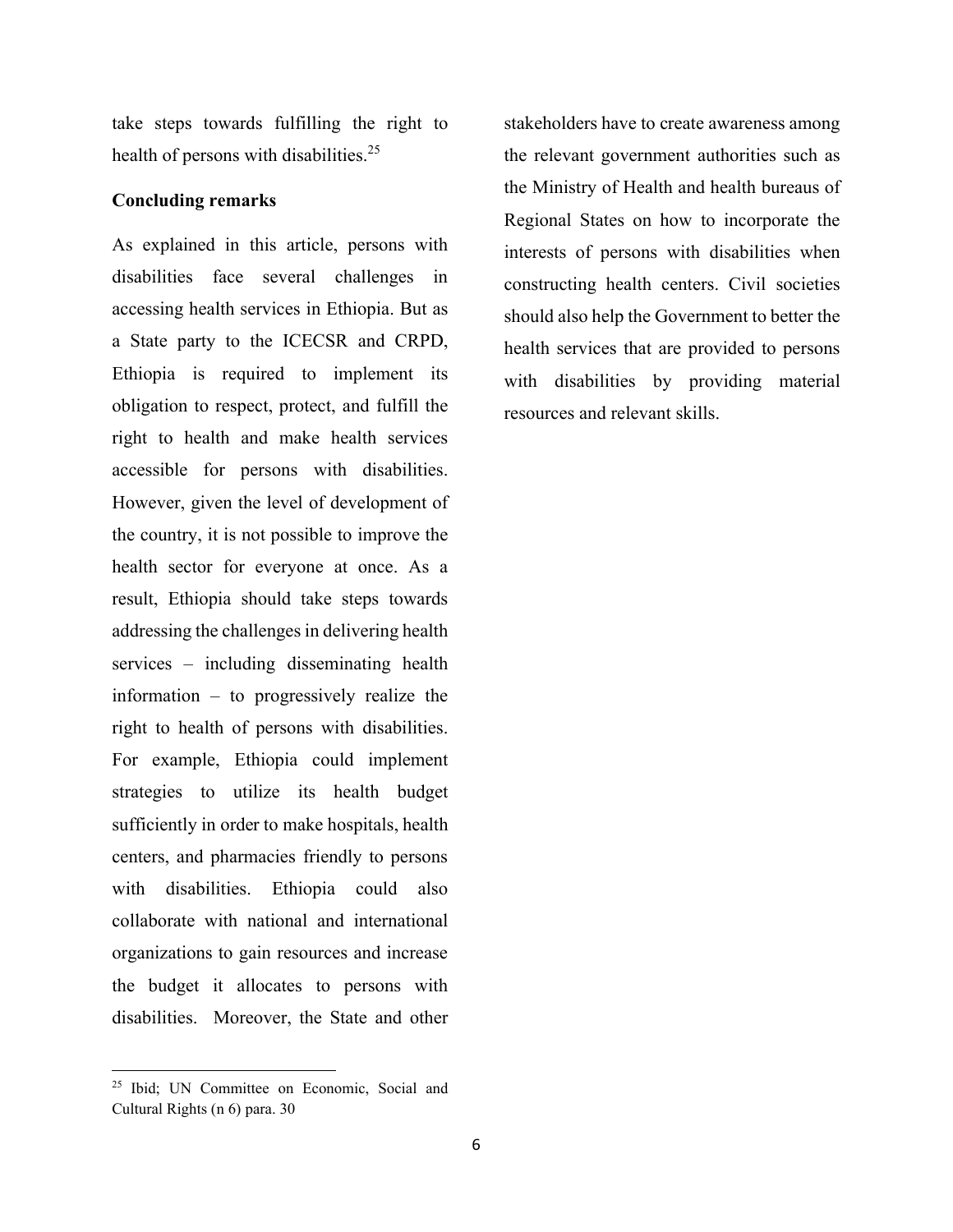take steps towards fulfilling the right to health of persons with disabilities.<sup>25</sup>

#### **Concluding remarks**

As explained in this article, persons with disabilities face several challenges in accessing health services in Ethiopia. But as a State party to the ICECSR and CRPD, Ethiopia is required to implement its obligation to respect, protect, and fulfill the right to health and make health services accessible for persons with disabilities. However, given the level of development of the country, it is not possible to improve the health sector for everyone at once. As a result, Ethiopia should take steps towards addressing the challenges in delivering health services – including disseminating health information – to progressively realize the right to health of persons with disabilities. For example, Ethiopia could implement strategies to utilize its health budget sufficiently in order to make hospitals, health centers, and pharmacies friendly to persons with disabilities. Ethiopia could also collaborate with national and international organizations to gain resources and increase the budget it allocates to persons with disabilities. Moreover, the State and other

<sup>25</sup> Ibid; UN Committee on Economic, Social and Cultural Rights (n 6) para. 30

stakeholders have to create awareness among the relevant government authorities such as the Ministry of Health and health bureaus of Regional States on how to incorporate the interests of persons with disabilities when constructing health centers. Civil societies should also help the Government to better the health services that are provided to persons with disabilities by providing material resources and relevant skills.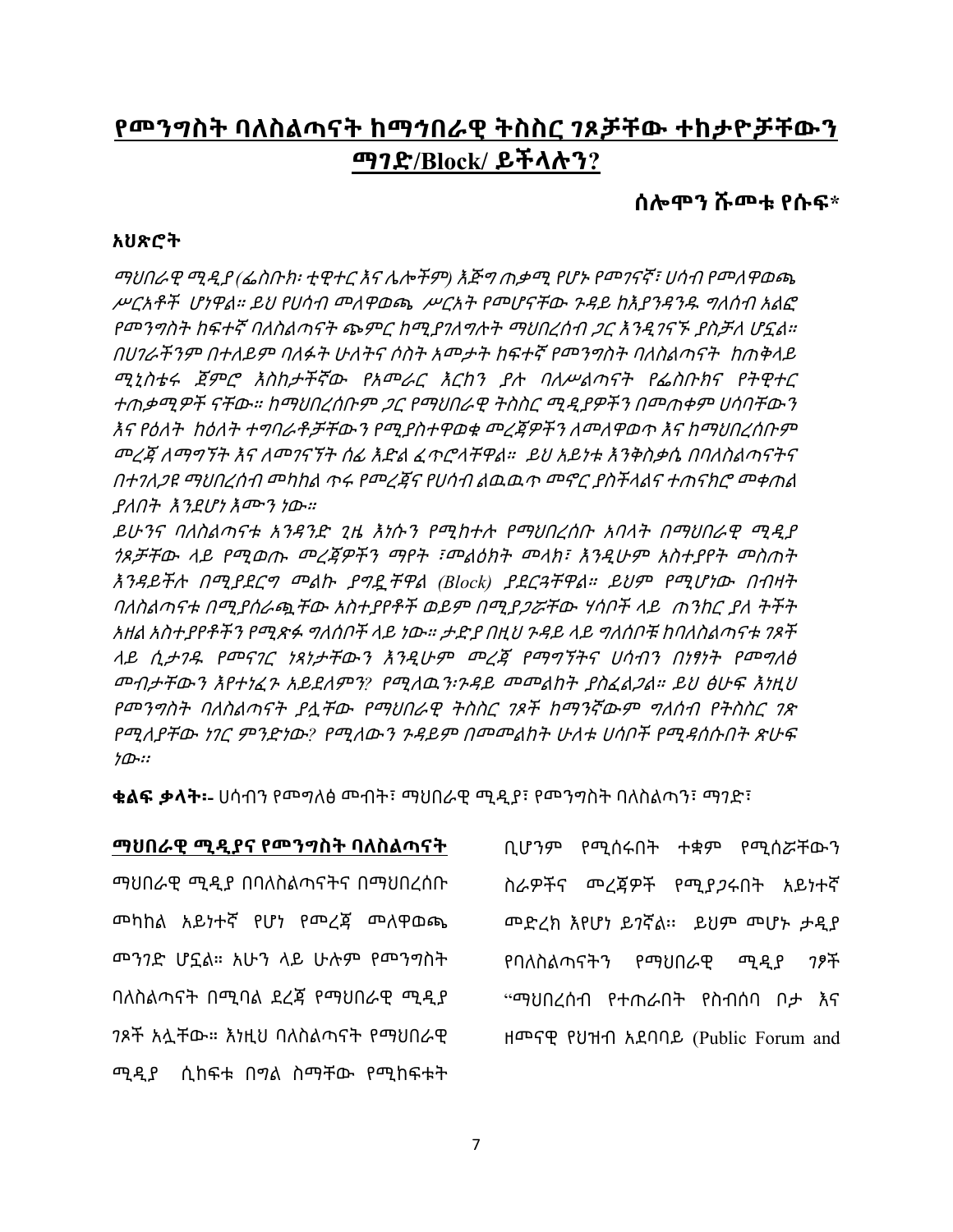## **የመንግስት ባለስልጣናት ከማኅበራዊ ትስስር ገጾቻቸው ተከታዮቻቸውን ማገድ/Block/ ይችላሉን?**

**ሰሎሞን ሹመቱ የሱፍ\***

#### **አህጽሮት**

ማህበራዊ ሚዲያ *(*ፌስቡክ፡ ቲዊተር እና ሌሎችም*)* እጅግ ጠቃሚ የሆኑ የመገናኛ፣ ሀሳብ የመለዋወጫ ሥርአቶች ሆነዋል። ይህ የሀሳብ መለዋወጫ ሥርአት የመሆናቸው ጉዳይ ከእያንዳንዱ ግለሰብ አልፎ የመንግስት ከፍተኛ ባለስልጣናት ጭምር ከሚያገለግሉት ማህበረሰብ ጋር እንዲገናኙ ያስቻለ ሆኗል። በሀገራችንም በተለይም ባለፉት ሁለትና ሶስት አመታት ከፍተኛ የመንግስት ባለስልጣናት ከጠቅላይ ሚኒስቴሩ ጀምሮ እስከታችኛው የአመራር እርከን ያሉ ባለሥልጣናት የፌስቡክና የትዊተር ተጠቃሚዎች ናቸው። ከማህበረሰቡም ጋር የማህበራዊ ትስስር ሚዲያዎችን በመጠቀም ሀሳባቸውን እና የዕለት ከዕለት ተግባራቶቻቸውን የሚያስተዋወቁ መረጃዎችን ለመለዋወጥ እና ከማህበረሰቡም መረጃ ለማግኘት እና ለመገናኘት ሰፊ እድል ፈጥሮላቸዋል። ይህ አይነቱ እንቅስቃሴ በባለስልጣናትና በተገለጋዩ ማህበረሰብ መካከል ጥሩ የመረጃና የሀሳብ ልዉዉጥ መኖር ያስችላልና ተጠናክሮ መቀጠል ያለበት እንደሆነ እሙን ነው።

ይሁንና ባለስልጣናቱ አንዳንድ ጊዜ እነሱን የሚከተሉ የማህበረሰቡ አባላት በማህበራዊ ሚዲያ ጎጾቻቸው ላይ የሚወጡ መረጃዎችን ማየት ፣መልዕክት መላክ፣ እንዲሁም አስተያየት መስጠት እንዳይችሉ በሚያደርግ መልኩ ያግዷቸዋል *(Block)* ያደርጓቸዋል። ይህም የሚሆነው በብዛት ባለስልጣናቱ በሚያሰራጯቸው አስተያየቶች ወይም በሚያጋሯቸው ሃሳቦች ላይ ጠንከር ያለ ትችት አዘል አስተያየቶችን የሚጽፉ ግለሰቦች ላይ ነው። ታድያ በዚህ ጉዳይ ላይ ግለሰቦቹ ከባለስልጣናቱ ገጾች ላይ ሲታገዱ የመናገር ነጻነታቸውን እንዲሁም መረጃ የማግኘትና ሀሳብን በነፃነት የመግለፅ መብታቸውን እየተነፈጉ አይደለምን*?* የሚለዉን፡ጉዳይ መመልከት ያስፈልጋል። ይህ ፅሁፍ እነዚህ የመንግስት ባለስልጣናት ያሏቸው የማህበራዊ ትስስር ገጾች ከማንኛውም ግለሰብ የትስስር ገጽ የሚለያቸው ነገር ምንድነው*?* የሚለውን ጉዳይም በመመልከት ሁለቱ ሀሳቦች የሚዳሰሱበት ጽሁፍ ነው፡፡

**ቁልፍ ቃላት፡-** ሀሳብን የመግለፅ መብት፣ ማህበራዊ ሚዲያ፣ የመንግስት ባለስልጣን፣ ማገድ፣

## **ማህበራዊ ሚዲያና የመንግስት ባለስልጣናት**

ማህበራዊ ሚዲያ በባለስልጣናትና በማህበረሰቡ መካከል አይነተኛ የሆነ የመረጃ መለዋወጫ መንገድ ሆኗል። አሁን ላይ ሁሉም የመንግስት ባለስልጣናት በሚባል ደረጃ የማህበራዊ ሚዲያ ገጾች አሏቸው። እነዚህ ባለስልጣናት የማህበራዊ ሚዲያ ሲከፍቱ በግል ስማቸው የሚከፍቱት

ቢሆንም የሚሰሩበት ተቋም የሚሰሯቸውን ስራዎችና መረጃዎች የሚያጋሩበት አይነተኛ መድረክ እየሆነ ይገኛል፡፡ ይህም መሆኑ ታዲያ የባለስልጣናትን የማህበራዊ ሚዲያ ገፆች "ማህበረሰብ የተጠራበት የስብሰባ ቦታ እና ዘመናዊ የህዝብ አደባባይ (Public Forum and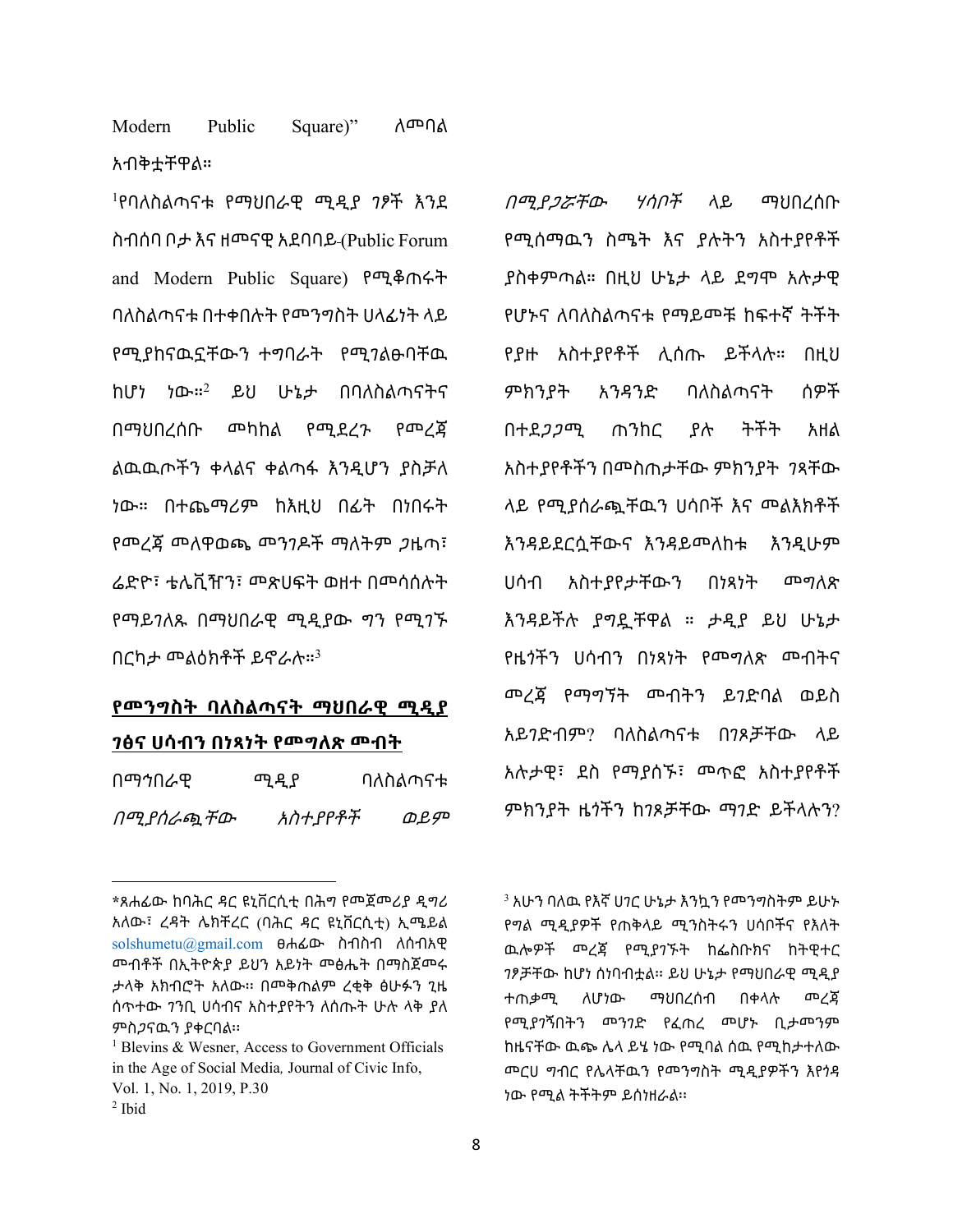Modern Public Square)" ለመባል አብቅቷቸዋል።

<sup>ነ</sup>የባለስልጣናቱ የማህበራዊ ሚዲያ *ገ*ፆች እንደ ስብሰባ ቦታ እና ዘመናዊ አደባባይ (Public Forum and Modern Public Square) የሚቆጠሩት ባለስልጣናቱ በተቀበሉት የመንግስት ሀላፊነት ላይ የሚያከናዉኗቸውን ተግባራት የሚገልፁባቸዉ ከሆነ ነው።<sup>2</sup> ይህ ሁኔታ በባለስልጣናትና በማህበረሰቡ መካከል የሚደረጉ የመረጃ ልዉዉጦችን ቀላልና ቀልጣፋ እንዲሆን ያስቻለ ነው። በተጨማሪም ከእዚህ በፊት በነበሩት የመረጃ መለዋወጫ መንገዶች ማለትም ጋዜጣ፣ ሬድዮ፣ ቴሌቪዥን፣ መጽሀፍት ወዘተ በመሳሰሉት የማይገለጹ በማህበራዊ ሚዲያው ግን የሚገኙ በርካታ መልዕክቶች ይኖራሉ።<sup>3</sup>

## **የመንግስት ባለስልጣናት ማህበራዊ ሚዲያ**

#### **ገፅና ሀሳብን በነጻነት የመግለጽ መብት**

| በማኅበራዊ            | ሚዲያ     | ባለስልጣናቱ |
|-------------------|---------|---------|
| በሚያሰራጯ <i>ቸ</i> ው | አስተያየቶች | ወይም     |

**<sup>\*</sup>**ጸሐፊው ከባሕር ዳር ዩኒቨርሲቲ በሕግ የመጀመሪያ ዲግሪ አለው፣ ረዳት ሌክቸረር (ባሕር ዳር ዩኒቨርሲቲ) ኢሜይል [solshumetu@gmail.com](mailto:solshumetu@gmail.com) ፀሐፊው ስብስብ ለሰብአዊ መብቶች በኢትዮጵያ ይህን አይነት መፅሔት በማስጀመሩ ታላቅ አክብሮት አለው፡፡ በመቅጠልም ረቂቅ ፅሁፉን ጊዜ ሰጥተው ገንቢ ሀሳብና አስተያየትን ለሰጡት ሁሉ ላቅ ያለ ምስጋናዉን ያቀርባል፡፡

*በሚያ<i>ጋሯቸው ሃሳቦች* ላይ ማህበረሰቡ የሚሰማዉን ስሜት እና ያሉትን አስተያየቶች ያስቀምጣል። በዚህ ሁኔታ ላይ ደግሞ አሉታዊ የሆኑና ለባለስልጣናቱ የማይመቹ ከፍተኛ ትችት የያዙ አስተያየቶች ሊሰጡ ይችላሉ። በዚህ ምክንያት አንዳንድ ባለስልጣናት ሰዎች በተደጋጋሚ ጠንከር ያሉ ትችት አዘል አስተያየቶችን በመስጠታቸው ምክንያት ገጻቸው ላይ የሚያሰራጯቸዉን ሀሳቦች እና መልእክቶች እንዳይደርሷቸውና እንዳይመለከቱ እንዲሁም ሀሳብ አስተያየታቸውን በነጻነት መግለጽ እንዳይችሉ ያግዷቸዋል ። ታዲያ ይህ ሁኔታ የዜጎችን ሀሳብን በነጻነት የመግለጽ መብትና መረጃ የማግኘት መብትን ይገድባል ወይስ አይገድብም? ባለስልጣናቱ በገጾቻቸው ላይ አሉታዊ፣ ደስ የማያሰኙ፣ መጥፎ አስተያየቶች ምክንያት ዜጎችን ከገጾቻቸው ማገድ ይችላሉን?

<sup>3</sup> አሁን ባለዉ የእኛ ሀገር ሁኔታ እንኳን የመንግስትም ይሁኑ የግል ሚዲያዎች የጠቅላይ ሚንስትሩን ሀሳቦችና የእለት ዉሎዎች መረጃ የሚያገኙት ከፌስቡክና ከትዊተር ገፆቻቸው ከሆነ ሰነባብቷል፡፡ ይህ ሁኔታ የማህበራዊ ሚዲያ ተጠቃሚ ለሆነው ማህበረሰብ በቀላሉ መረጃ የሚያገኝበትን መንገድ የፈጠረ መሆኑ ቢታመንም ከዜናቸው ዉጭ ሌላ ይሄ ነው የሚባል ሰዉ የሚከታተለው መርሀ ግብር የሌላቸዉን የመንግስት ሚዲያዎችን እየጎዳ ነው የሚል ትችትም ይሰነዘራል፡፡

<sup>&</sup>lt;sup>1</sup> Blevins & Wesner, Access to Government Officials in the Age of Social Media*,* Journal of Civic Info, Vol. 1, No. 1, 2019, P.30  $<sup>2</sup>$  Ibid</sup>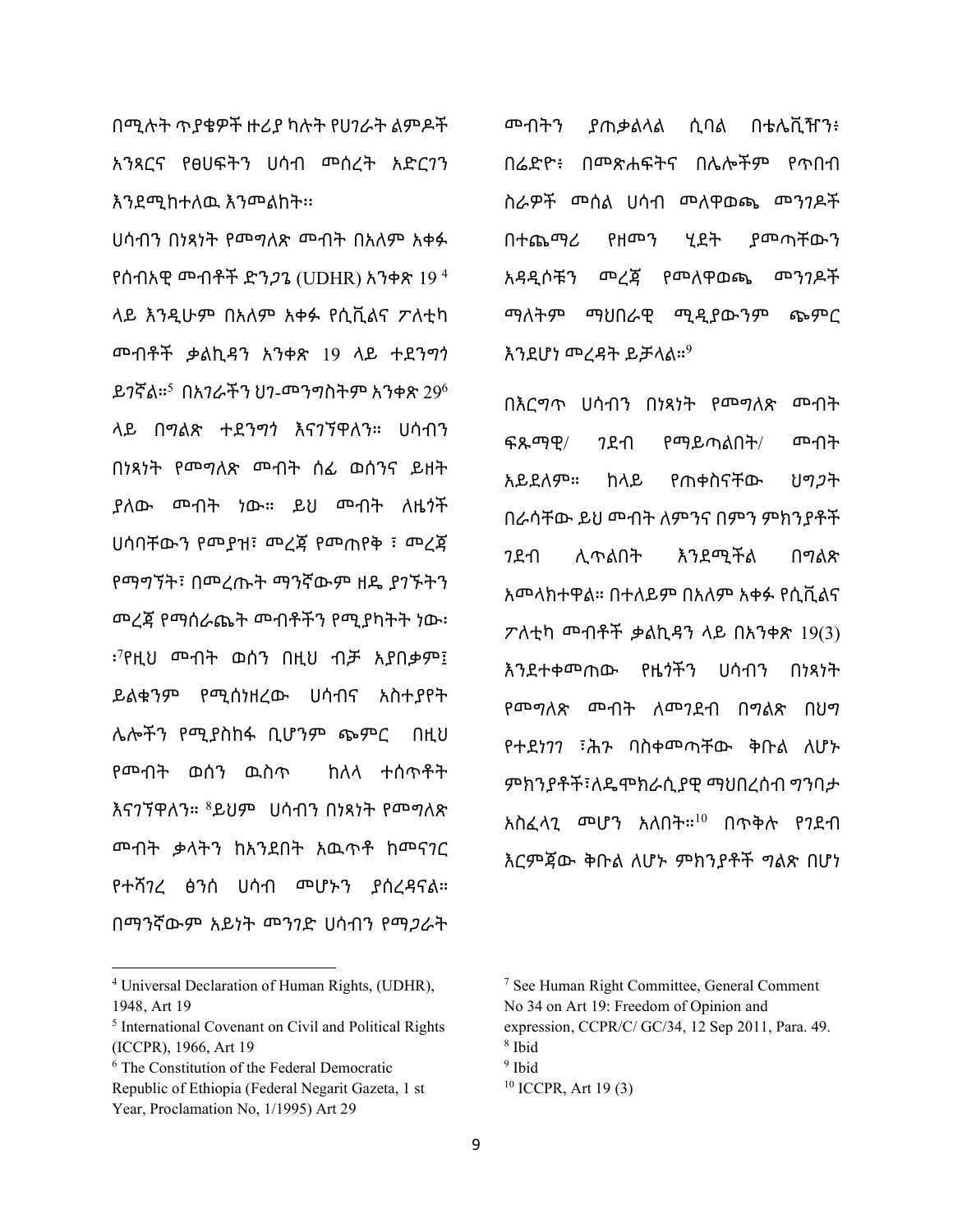እንደሚከተለዉ እንመልከት፡፡ ሀሳብን በነጻነት የመግለጽ መብት በአለም አቀፉ የሰብአዊ መብቶች ድንጋጌ (UDHR) አንቀጽ 19 4 ላይ እንዲሁም በአለም አቀፉ የሲቪልና ፖለቲካ መብቶች ቃልኪዳን አንቀጽ 19 ላይ ተደንግጎ ይገኛል። $^5$  በአገራችን ህገ-መንግስትም አንቀጽ 29 $^6$ ላይ በግልጽ ተደንግጎ እናገኘዋለን። ሀሳብን በነጻነት የመግለጽ መብት ሰፊ ወሰንና ይዘት ያለው መብት ነው። ይህ መብት ለዜጎች ሀሳባቸውን የመያዝ፣ መረጃ የመጠየቅ ፣ መረጃ የማግኘት፣ በመረጡት ማንኛውም ዘዴ ያገኙትን መረጃ የማሰራጨት መብቶችን የሚያካትት ነው፡ ፡ 7 የዚህ መብት ወሰን በዚህ ብቻ አያበቃም፤ ይልቁንም የሚሰነዘረው ሀሳብና አስተያየት ሌሎችን የሚያስከፋ ቢሆንም ጭምር በዚህ የመብት ወሰን ዉስጥ ከለላ ተሰጥቶት እናንኘዋለን። <sup>8</sup>ይህም ሀሳብን በነጻነት የመግለጽ መብት ቃላትን ከአንደበት አዉጥቶ ከመናገር የተሻገረ ፅንሰ ሀሳብ መሆኑን ያሰረዳናል። በማንኛውም አይነት መንገድ ሀሳብን የማጋራት

በሚሉት ጥያቄዎች ዙሪያ ካሉት የሀገራት ልምዶች

አንጻርና የፀሀፍትን ሀሳብ መሰረት አድርገን

<sup>4</sup> Universal Declaration of Human Rights, (UDHR), 1948, Art 19

መብትን ያጠቃልላል ሲባል በቴሌቪዥን፥ በሬድዮ፥ በመጽሐፍትና በሌሎችም የጥበብ ስራዎች መሰል ሀሳብ መለዋወጫ መንገዶች በተጨማሪ የዘመን ሂደት ያመጣቸውን አዳዲሶቹን መረጃ የመለዋወጫ መንገዶች ማለትም ማህበራዊ ሚዲያውንም ጭምር እንደሆነ መረዳት ይቻላል። $^9$ 

በእርግጥ ሀሳብን በነጻነት የመግለጽ መብት ፍጹማዊ/ ገደብ የማይጣልበት/ መብት አይደለም። ከላይ የጠቀስናቸው ህግጋት በራሳቸው ይህ መብት ለምንና በምን ምክንያቶች ገደብ ሊጥልበት እንደሚችል በግልጽ አመላክተዋል። በተለይም በአለም አቀፉ የሲቪልና ፖለቲካ መብቶች ቃልኪዳን ላይ በአንቀጽ 19(3) እንደተቀመጠው የዜጎችን ሀሳብን በነጻነት የመግለጽ መብት ለመገደብ በግልጽ በህግ የተደነገገ ፣ሕጉ ባስቀመጣቸው ቅቡል ለሆኑ ምክንያቶች፣ለዴሞክራሲያዊ ማህበረሰብ ግንባታ አስፈላጊ መሆን አለበት።<sup>10</sup> በጥቅሉ የገደብ እርምጃው ቅቡል ለሆኑ ምክንያቶች ግልጽ በሆነ

<sup>5</sup> International Covenant on Civil and Political Rights (ICCPR), 1966, Art 19

<sup>6</sup> The Constitution of the Federal Democratic

Republic of Ethiopia (Federal Negarit Gazeta, 1 st Year, Proclamation No, 1/1995) Art 29

<sup>7</sup> See Human Right Committee, General Comment No 34 on Art 19: Freedom of Opinion and expression, CCPR/C/ GC/34, 12 Sep 2011, Para. 49.

<sup>8</sup> Ibid

<sup>&</sup>lt;sup>9</sup> Ibid

 $10$  ICCPR, Art 19(3)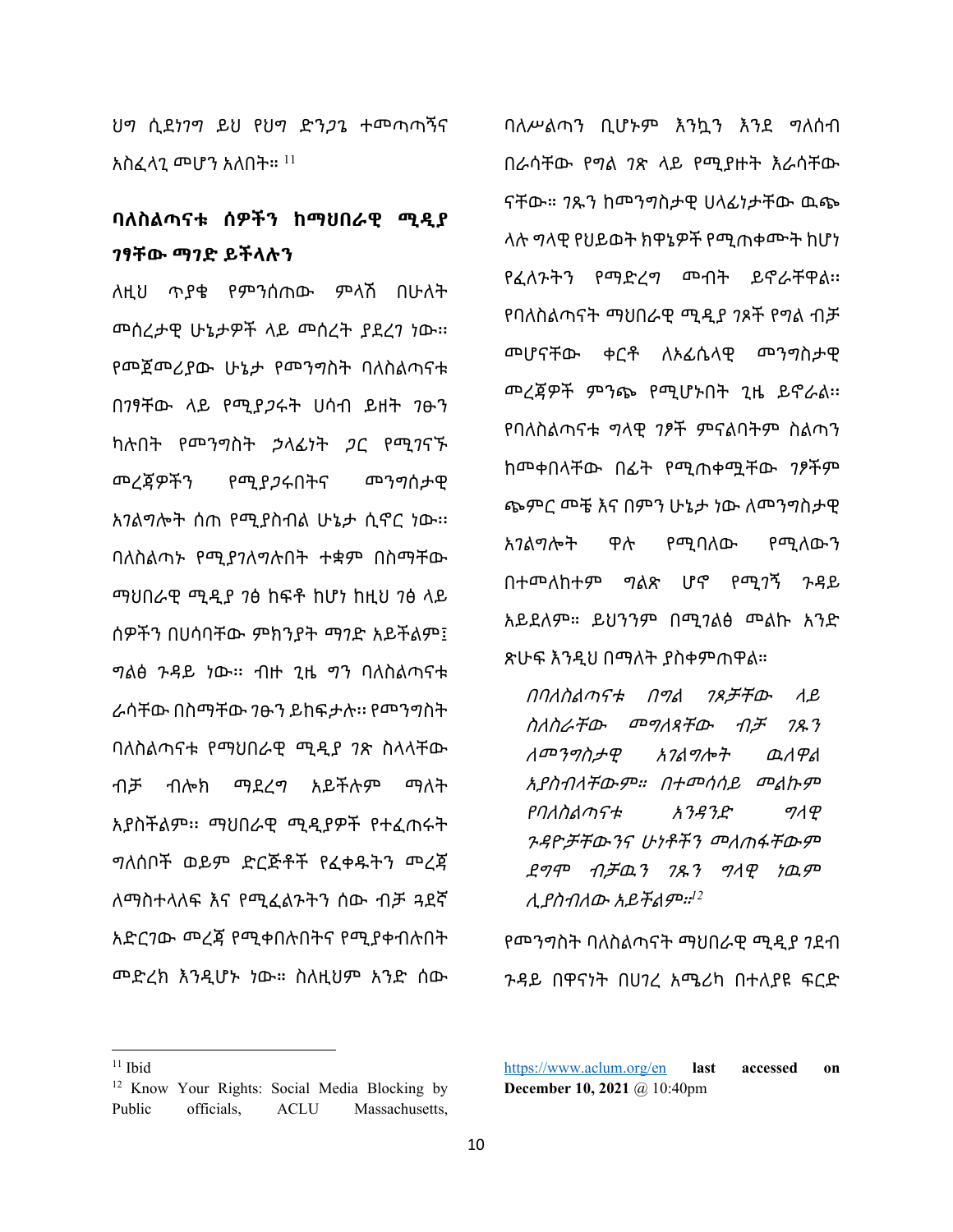ህግ ሲደነገግ ይህ የህግ ድንጋጌ ተመጣጣኝና አስፈላጊ መሆን አለበት።  $^{\rm 11}$ 

## **ባለስልጣናቱ ሰዎችን ከማህበራዊ ሚዲያ ገፃቸው ማገድ ይችላሉን**

ለዚህ ጥያቄ የምንሰጠው ምላሽ በሁለት መሰረታዊ ሁኔታዎች ላይ መሰረት ያደረገ ነው፡፡ የመጀመሪያው ሁኔታ የመንግስት ባለስልጣናቱ በገፃቸው ላይ የሚያጋሩት ሀሳብ ይዘት ገፁን ካሉበት የመንግስት ኃላፊነት ጋር የሚገናኙ መረጃዎችን የሚያጋሩበትና መንግሰታዊ አገልግሎት ሰጠ የሚያስብል ሁኔታ ሲኖር ነው፡፡ ባለስልጣኑ የሚያገለግሉበት ተቋም በስማቸው ማህበራዊ ሚዲያ ገፅ ከፍቶ ከሆነ ከዚህ ገፅ ላይ ሰዎችን በሀሳባቸው ምክንያት ማገድ አይችልም፤ ግልፅ ጉዳይ ነው፡፡ ብዙ ጊዜ ግን ባለስልጣናቱ ራሳቸው በስማቸው ገፁን ይከፍታሉ፡፡ የመንግስት ባለስልጣናቱ የማህበራዊ ሚዲያ ገጽ ስላላቸው ብቻ ብሎክ ማደረግ አይችሉም ማለት አያስችልም፡፡ ማህበራዊ ሚዲያዎች የተፈጠሩት ግለሰቦች ወይም ድርጅቶች የፈቀዱትን መረጃ ለማስተላለፍ እና የሚፈልጉትን ሰው ብቻ ጓደኛ አድርገው መረጃ የሚቀበሉበትና የሚያቀብሉበት መድረክ እንዲሆኑ ነው። ስለዚህም አንድ ሰው

ባለሥልጣን ቢሆኑም እንኳን እንደ ግለሰብ በራሳቸው የግል ገጽ ላይ የሚያዙት እራሳቸው ናቸው። ገጹን ከመንግስታዊ ሀላፊነታቸው ዉጭ ላሉ ግላዊ የህይወት ክዋኔዎች የሚጠቀሙት ከሆነ የፈለጉትን የማድረግ መብት ይኖራቸዋል፡፡ የባለስልጣናት ማህበራዊ ሚዲያ ገጾች የግል ብቻ መሆናቸው ቀርቶ ለኦፊሴላዊ መንግስታዊ መረጃዎች ምንጭ የሚሆኑበት ጊዜ ይኖራል፡፡ የባለስልጣናቱ ግላዊ ገፆች ምናልባትም ስልጣን ከመቀበላቸው በፊት የሚጠቀሟቸው ገፆችም ጭምር መቼ እና በምን ሁኔታ ነው ለመንግስታዊ አገልግሎት ዋሉ የሚባለው የሚለውን በተመለከተም ግልጽ ሆኖ የሚገኝ ጉዳይ አይደለም። ይህንንም በሚገልፅ መልኩ አንድ

በባለስልጣናቱ በግል ገጾቻቸው ላይ ስለስራቸው መግለጻቸው ብቻ ገጹን ለመንግስታዊ አገልግሎት ዉለዋል አያስብላቸውም። በተመሳሳይ መልኩም የባለስልጣናቱ አንዳንድ ግላዊ ጉዳዮቻቸውንና ሁነቶችን መለጠፋቸውም ደግሞ ብቻዉን ገጹን ግላዊ ነዉም ሊያስብለው አይችልም።*<sup>12</sup>*

ጽሁፍ እንዲህ በማለት ያስቀምጠዋል።

የመንግስት ባለስልጣናት ማህበራዊ ሚዲያ ገደብ ጉዳይ በዋናነት በሀገረ አሜሪካ በተለያዩ ፍርድ

 $11$  Ibid

<sup>&</sup>lt;sup>12</sup> Know Your Rights: Social Media Blocking by Public officials, ACLU Massachusetts,

<https://www.aclum.org/en> **last accessed on December 10, 2021** @ 10:40pm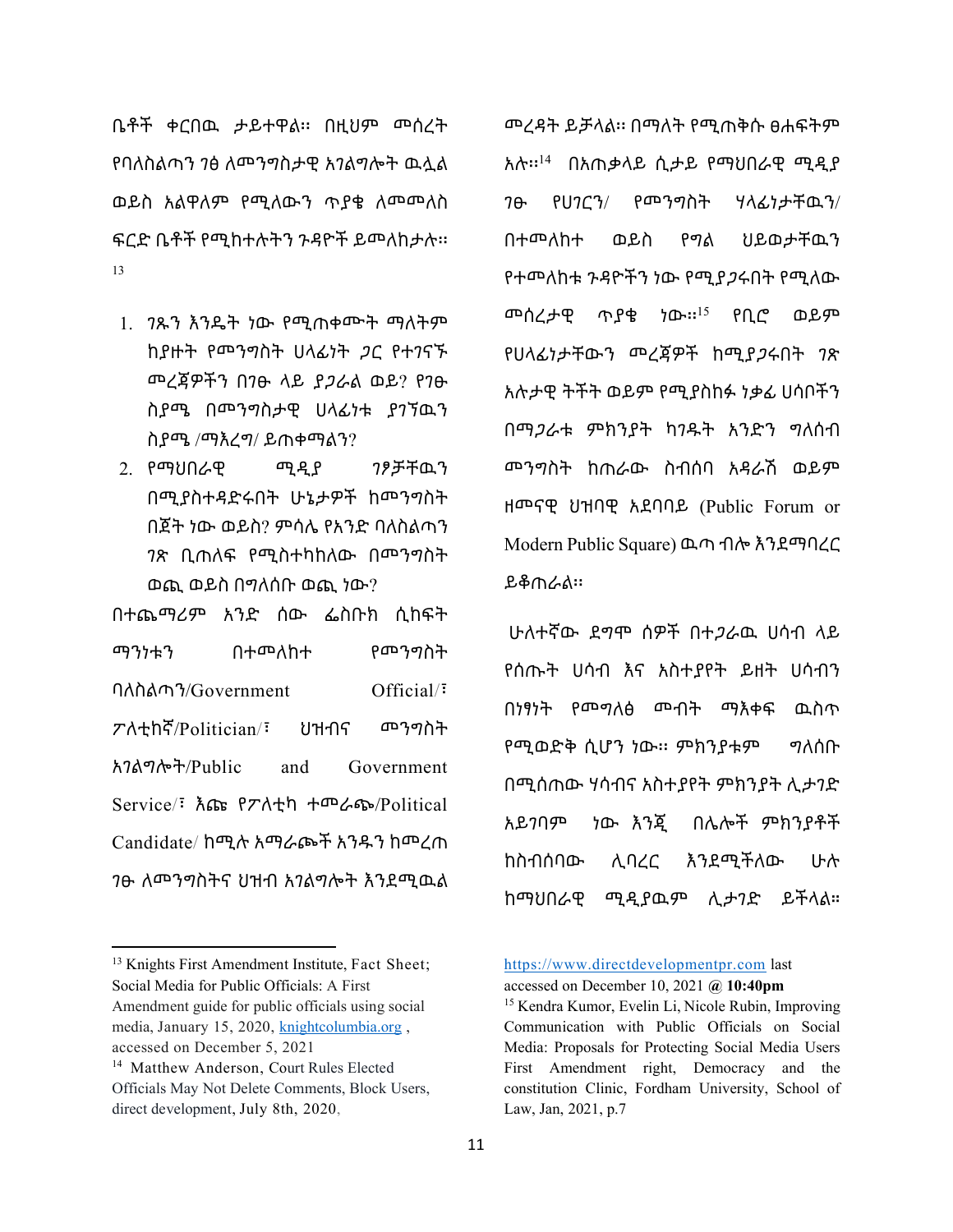ቤቶች ቀርበዉ ታይተዋል፡፡ በዚህም መሰረት የባለስልጣን ገፅ ለመንግስታዊ አገልግሎት ዉሏል ወይስ አልዋለም የሚለውን ጥያቄ ለመመለስ ፍርድ ቤቶች የሚከተሉትን ጉዳዮች ይመለከታሉ፡፡ 13

- 1. ገጹን እንዴት ነው የሚጠቀሙት ማለትም ከያዙት የመንግስት ሀላፊነት ጋር የተገናኙ መረጃዎችን በገፁ ላይ ያጋራል ወይ? የገፁ ስያሜ በመንግስታዊ ሀላፊነቱ ያገኘዉን ስያሜ /ማእረግ/ ይጠቀማልን?
- 2. የማህበራዊ ሚዲያ ገፆቻቸዉን በሚያስተዳድሩበት ሁኔታዎች ከመንግስት በጀት ነው ወይስ? ምሳሌ የአንድ ባለስልጣን ገጽ ቢጠለፍ የሚስተካከለው በመንግስት ወጪ ወይስ በግለሰቡ ወጪ ነው?

በተጨማሪም አንድ ሰው ፌስቡክ ሲከፍት ማንነቱን በተመለከተ የመንግስት ባለስልጣን/Government Official/፣ ፖለቲከኛ/Politician/፣ ህዝብና መንግስት አገልግሎት/Public and Government Service/፣ እጩ የፖለቲካ ተመራጭ/Political Candidate/ ከሚሉ አማራጮች አንዱን ከመረጠ ገፁ ለመንግስትና ህዝብ አገልግሎት እንደሚዉል መረዳት ይቻላል፡፡ በማለት የሚጠቅሱ ፀሐፍትም አሉ፡፡<sup>14</sup> በአጠቃላይ ሲታይ የማህበራዊ ሚዲያ ገፁ የሀገርን/ የመንግስት ሃላፊነታቸዉን/ በተመለከተ ወይስ የግል ህይወታቸዉን የተመለከቱ ጉዳዮችን ነው የሚያጋሩበት የሚለው መሰረታዊ ጥያቄ ነው፡፡<sup>15</sup> የቢሮ ወይም የሀላፊነታቸውን መረጃዎች ከሚያጋሩበት ገጽ አሉታዊ ትችት ወይም የሚያስከፉ ነቃፊ ሀሳቦችን በማጋራቱ ምክንያት ካገዱት አንድን ግለሰብ መንግስት ከጠራው ስብሰባ አዳራሽ ወይም ዘመናዊ ህዝባዊ አደባባይ (Public Forum or Modern Public Square) ዉጣ ብሎ እንደማባረር ይቆጠራል፡፡

ሁለተኛው ደግሞ ሰዎች በተጋራዉ ሀሳብ ላይ የሰጡት ሀሳብ እና አስተያየት ይዘት ሀሳብን በነፃነት የመግለፅ መብት ማእቀፍ ዉስጥ የሚወድቅ ሲሆን ነው፡፡ ምክንያቱም ግለሰቡ በሚሰጠው ሃሳብና አስተያየት ምክንያት ሊታገድ አይገባም ነው እንጂ በሌሎች ምክንያቶች ከስብሰባው ሊባረር እንደሚችለው ሁሉ ከማህበራዊ ሚዲያዉም ሊታገድ ይችላል።

[https://www.directdevelopmentpr.com](https://www.directdevelopmentpr.com/) last

accessed on December 10, 2021 **@ 10:40pm**

<sup>&</sup>lt;sup>13</sup> Knights First Amendment Institute, Fact Sheet; Social Media for Public Officials: A First Amendment guide for public officials using social media, January 15, 2020, [knightcolumbia.org](https://knightcolumbia.org/blog/channel/public-officials-and-social-media) , accessed on December 5, 2021

<sup>&</sup>lt;sup>14</sup> [Matthew Anderson,](https://www.directdevelopmentpr.com/author/matthew-anderson/) Court Rules Elected Officials May Not Delete Comments, Block Users, direct development, July 8th, 2020,

<sup>&</sup>lt;sup>15</sup> Kendra Kumor, Evelin Li, Nicole Rubin, Improving Communication with Public Officials on Social Media: Proposals for Protecting Social Media Users First Amendment right, Democracy and the constitution Clinic, Fordham University, School of Law, Jan, 2021, p.7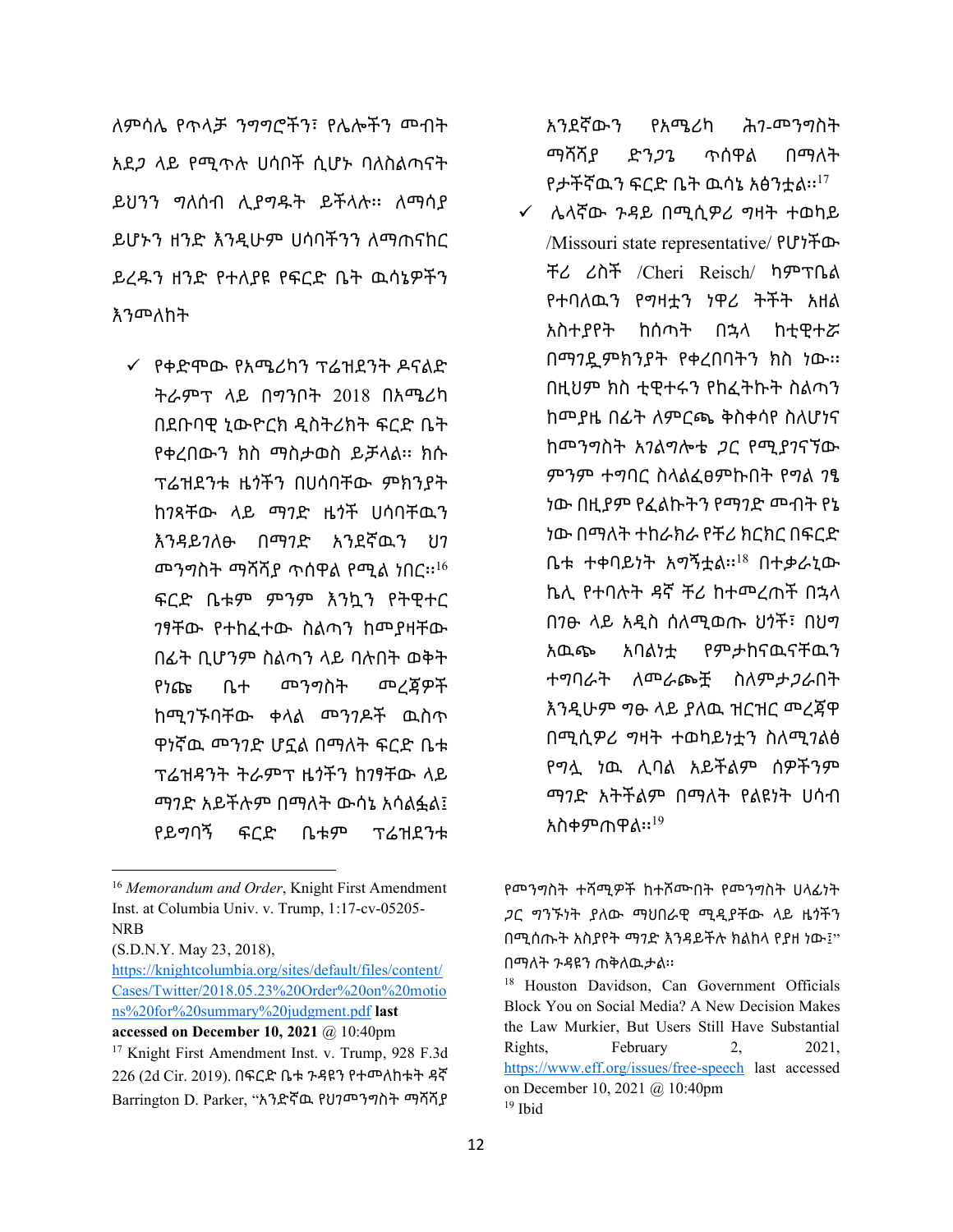ለምሳሌ የጥላቻ ንግግሮችን፣ የሌሎችን መብት አደጋ ላይ የሚጥሉ ሀሳቦች ሲሆኑ ባለስልጣናት ይህንን ግለሰብ ሊያግዱት ይችላሉ፡፡ ለማሳያ ይሆኑን ዘንድ እንዲሁም ሀሳባችንን ለማጠናከር ይረዱን ዘንድ የተለያዩ የፍርድ ቤት ዉሳኔዎችን እንመለከት

¸ የቀድሞው የአሜሪካን ፕሬዝደንት ዶናልድ ትራምፕ ላይ በግንቦት 2018 በአሜሪካ በደቡባዊ ኒውዮርክ ዲስትሪክት ፍርድ ቤት የቀረበውን ክስ ማስታወስ ይቻላል፡፡ ክሱ ፕሬዝደንቱ ዜጎችን በሀሳባቸው ምክንያት ከገጻቸው ላይ ማገድ ዜጎች ሀሳባቸዉን እንዳይገለፁ በማገድ አንደኛዉን ህገ መንግስት ማሻሻያ ጥሰዋል የሚል ነበር፡፡<sup>16</sup> ፍርድ ቤቱም ምንም እንኳን የትዊተር ገፃቸው የተከፈተው ስልጣን ከመያዛቸው በፊት ቢሆንም ስልጣን ላይ ባሉበት ወቅት የነጩ ቤተ መንግስት መረጃዎች ከሚገኙባቸው ቀላል መንገዶች ዉስጥ ዋነኛዉ መንገድ ሆኗል በማለት ፍርድ ቤቱ ፕሬዝዳንት ትራምፕ ዜጎችን ከገፃቸው ላይ ማገድ አይችሉም በማለት ውሳኔ አሳልፏል፤ የይግባኝ ፍርድ ቤቱም ፕሬዝደንቱ

[https://knightcolumbia.org/sites/default/files/content/](https://knightcolumbia.org/sites/default/files/content/Cases/Twitter/2018.05.23%20Order%20on%20motions%20for%20summary%20judgment.pdf) [Cases/Twitter/2018.05.23%20Order%20on%20motio](https://knightcolumbia.org/sites/default/files/content/Cases/Twitter/2018.05.23%20Order%20on%20motions%20for%20summary%20judgment.pdf) [ns%20for%20summary%20judgment.pdf](https://knightcolumbia.org/sites/default/files/content/Cases/Twitter/2018.05.23%20Order%20on%20motions%20for%20summary%20judgment.pdf) **last accessed on December 10, 2021** @ 10:40pm

አንደኛውን የአሜሪካ ሕገ-መንግስት ማሻሻያ ድንጋጌ ጥሰዋል በማለት የታችኛዉን ፍርድ ቤት ዉሳኔ አፅንቷል፡፡ $^{17}$ 

 $\checkmark$  ሌላኛው ጉዳይ በሚሲዎሪ ግዛት ተወካይ /Missouri state representative/ የሆነችው ቸሪ ሪስች /Cheri Reisch/ ካምፕቤል የተባለዉን የግዛቷን ነዋሪ ትችት አዘል አስተያየት ከሰጣት በኋላ ከቲዊተሯ በማገዷምክንያት የቀረበባትን ክስ ነው፡፡ በዚህም ክስ ቲዊተሩን የከፈትኩት ስልጣን ከመያዜ በፊት ለምርጫ ቅስቀሳየ ስለሆነና ከመንግስት አገልግሎቴ ጋር የሚያገናኘው ምንም ተግባር ስላልፈፀምኩበት የግል ገፄ ነው በዚያም የፈልኩትን የማገድ መብት የኔ ነው በማለት ተከራክራ የቸሪ ክርክር በፍርድ ቤቱ ተቀባይነት አግኝቷል፡፡<sup>18</sup> በተቃራኒው ኬሊ የተባሉት ዳኛ ቸሪ ከተመረጠች በኋላ በገፁ ላይ አዲስ ሰለሚወጡ ህጎች፣ በህግ አዉጭ አባልነቷ የምታከናዉናቸዉን ተግባራት ለመራጮቿ ስለምታጋራበት እንዲሁም ግፁ ላይ ያለዉ ዝርዝር መረጃዋ በሚሲዎሪ ግዛት ተወካይነቷን ስለሚገልፅ የግሏ ነዉ ሊባል አይችልም ሰዎችንም ማገድ አትችልም በማለት የልዩነት ሀሳብ አስቀምጠዋል፡፡ $^{19}$ 

የመንግስት ተሻሚዎች ከተሾሙበት የመንግስት ሀላፊነት ጋር ግንኙነት ያለው ማህበራዊ ሚዲያቸው ላይ ዜጎችን በሚሰጡት አስያየት ማገድ እንዳይችሉ ክልከላ የያዘ ነው፤" በማለት ጉዳዩን ጠቅለዉታል፡፡

<sup>16</sup> *Memorandum and Order*, Knight First Amendment Inst. at Columbia Univ. v. Trump, 1:17-cv-05205- NRB

<sup>(</sup>S.D.N.Y. May 23, 2018),

<sup>&</sup>lt;sup>17</sup> Knight First Amendment Inst. v. Trump, 928 F.3d 226 (2d Cir. 2019). በፍርድ ቤቱ ጉዳዩን የተመለከቱት ዳኛ Barrington D. Parker, "አንድኛዉ የህገመንግስት ማሻሻያ

<sup>&</sup>lt;sup>18</sup> Houston Davidson, Can Government Officials Block You on Social Media? A New Decision Makes the Law Murkier, But Users Still Have Substantial Rights, February 2, 2021, <https://www.eff.org/issues/free-speech> last accessed on December 10, 2021 @ 10:40pm <sup>19</sup> Ibid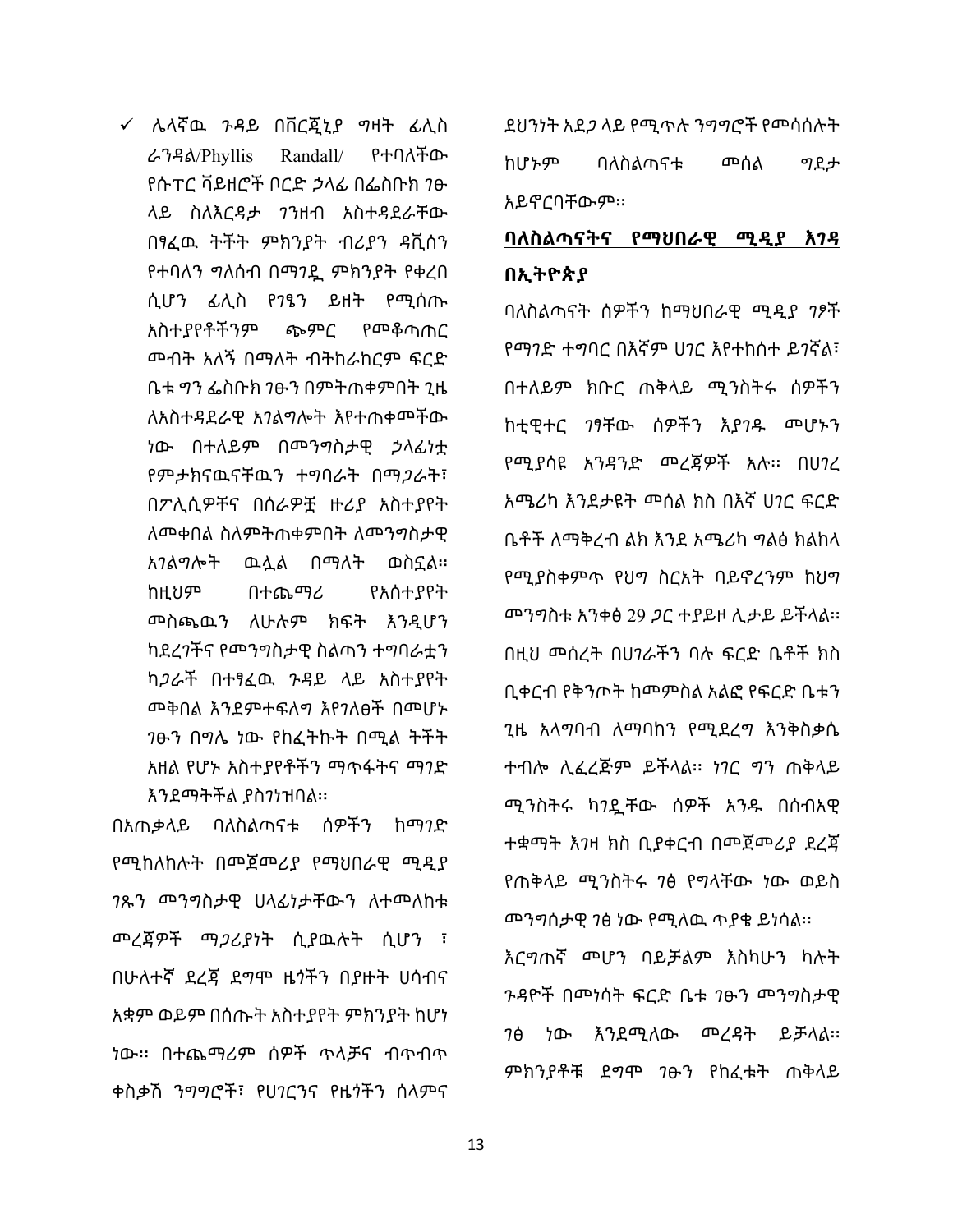¸ ሌላኛዉ ጉዳይ በቨርጂኒያ ግዛት ፊሊስ ራንዳል/Phyllis Randall/ የተባለችው የሱፐር ቫይዘሮች ቦርድ ኃላፊ በፌስቡክ ገፁ ላይ ስለእርዳታ ገንዘብ አስተዳደራቸው በፃፈዉ ትችት ምክንያት ብሪያን ዳቪሰን የተባለን ግለሰብ በማገዷ ምክንያት የቀረበ ሲሆን ፊሊስ የገፄን ይዘት የሚሰጡ አስተያየቶችንም ጭምር የመቆጣጠር መብት አለኝ በማለት ብትከራከርም ፍርድ ቤቱ ግን ፌስቡክ ገፁን በምትጠቀምበት ጊዜ ለአስተዳደራዊ አገልግሎት እየተጠቀመችው ነው በተለይም በመንግስታዊ ኃላፊነቷ የምታክናዉናቸዉን ተግባራት በማጋራት፣ በፖሊሲዎቸና በሰራዎቿ ዙሪያ አስተያየት ለመቀበል ስለምትጠቀምበት ለመንግስታዊ አገልግሎት ዉሏል በማለት ወስኗል፡፡ ከዚህም በተጨማሪ የአሰተያየት መስጫዉን ለሁሉም ክፍት እንዲሆን ካደረገችና የመንግስታዊ ስልጣን ተግባራቷን ካጋራች በተፃፈዉ ጉዳይ ላይ አስተያየት መቅበል እንደምተፍለግ እየገለፀች በመሆኑ ገፁን በግሌ ነው የከፈትኩት በሚል ትችት አዘል የሆኑ አስተያየቶችን ማጥፋትና ማገድ እንደማትችል ያስገነዝባል፡፡

በአጠቃላይ ባለስልጣናቱ ሰዎችን ከማገድ የሚከለከሉት በመጀመሪያ የማህበራዊ ሚዲያ ገጹን መንግስታዊ ሀላፊነታቸውን ለተመለከቱ መረጃዎች ማጋሪያነት ሲያዉሉት ሲሆን ፣ በሁለተኛ ደረጃ ደግሞ ዜጎችን በያዙት ሀሳብና አቋም ወይም በሰጡት አስተያየት ምክንያት ከሆነ ነው፡፡ በተጨማሪም ሰዎች ጥላቻና ብጥብጥ ቀስቃሽ ንግግሮች፣ የሀገርንና የዜጎችን ሰላምና ደህንነት አደጋ ላይ የሚጥሉ ንግግሮች የመሳሰሉት ከሆኑም ባለስልጣናቱ መሰል ግደታ አይኖርባቸውም፡፡

## **ባለስልጣናትና የማህበራዊ ሚዲያ እገዳ በኢትዮጵያ**

ባለስልጣናት ሰዎችን ከማህበራዊ ሚዲያ ገፆች የማገድ ተግባር በእኛም ሀገር እየተከሰተ ይገኛል፣ በተለይም ክቡር ጠቅላይ ሚንስትሩ ሰዎችን ከቲዊተር ገፃቸው ሰዎችን እያገዱ መሆኑን የሚያሳዩ አንዳንድ መረጃዎች አሉ፡፡ በሀገረ አሜሪካ እንደታዩት መሰል ክስ በእኛ ሀገር ፍርድ ቤቶች ለማቅረብ ልክ እንደ አሜሪካ ግልፅ ክልከላ የሚያስቀምጥ የህግ ስርአት ባይኖረንም ከህግ መንግስቱ አንቀፅ 29 ጋር ተያይዞ ሊታይ ይችላል፡፡ በዚህ መሰረት በሀገራችን ባሉ ፍርድ ቤቶች ክስ ቢቀርብ የቅንጦት ከመምስል አልፎ የፍርድ ቤቱን ጊዜ አላግባብ ለማባከን የሚደረግ እንቅስቃሴ ተብሎ ሊፈረጅም ይችላል፡፡ ነገር ግን ጠቅላይ ሚንስትሩ ካገዷቸው ሰዎች አንዱ በሰብአዊ ተቋማት እገዛ ክስ ቢያቀርብ በመጀመሪያ ደረጃ የጠቅላይ ሚንስትሩ ገፅ የግላቸው ነው ወይስ መንግሰታዊ ገፅ ነው የሚለዉ ጥያቄ ይነሳል፡፡ እርግጠኛ መሆን ባይቻልም እስካሁን ካሉት ጉዳዮች በመነሳት ፍርድ ቤቱ ገፁን መንግስታዊ ገፅ ነው እንደሚለው መረዳት ይቻላል፡፡

ምክንያቶቹ ደግሞ ገፁን የከፈቱት ጠቅላይ

13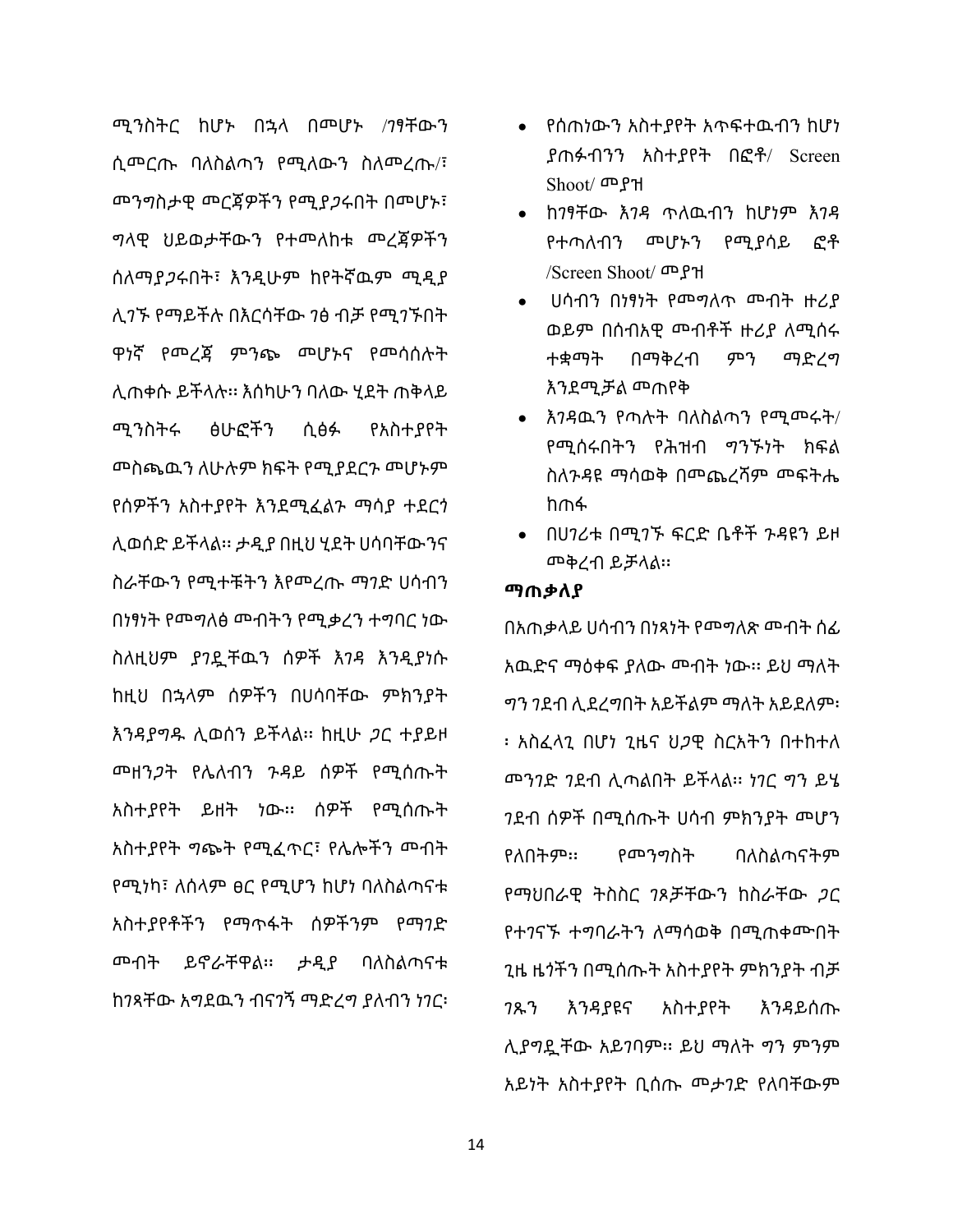ሚንስትር ከሆኑ በኋላ በመሆኑ /ገፃቸውን ሲመርጡ ባለስልጣን የሚለውን ስለመረጡ/፣ መንግስታዊ መርጃዎችን የሚያጋሩበት በመሆኑ፣ ግላዊ ህይወታቸውን የተመለከቱ መረጃዎችን ሰለማያጋሩበት፣ እንዲሁም ከየትኛዉም ሚዲያ ሊገኙ የማይችሉ በእርሳቸው ገፅ ብቻ የሚገኙበት ዋነኛ የመረጃ ምንጭ መሆኑና የመሳሰሉት ሊጠቀሱ ይችላሉ፡፡ እሰካሁን ባለው ሂደት ጠቅላይ ሚንስትሩ ፅሁፎችን ሲፅፉ የአስተያየት መስጫዉን ለሁሉም ክፍት የሚያደርጉ መሆኑም የሰዎችን አስተያየት እንደሚፈልጉ ማሳያ ተደርጎ ሊወሰድ ይችላል፡፡ ታዲያ በዚህ ሂደት ሀሳባቸውንና ስራቸውን የሚተቹትን እየመረጡ ማገድ ሀሳብን በነፃነት የመግለፅ መብትን የሚቃረን ተግባር ነው ስለዚህም ያገዷቸዉን ሰዎች እገዳ እንዲያነሱ ከዚህ በኋላም ሰዎችን በሀሳባቸው ምክንያት እንዳያግዱ ሊወሰን ይችላል፡፡ ከዚሁ ጋር ተያይዞ መዘንጋት የሌለብን ጉዳይ ሰዎች የሚሰጡት አስተያየት ይዘት ነው፡፡ ሰዎች የሚሰጡት አስተያየት ግጭት የሚፈጥር፣ የሌሎችን መብት የሚነካ፣ ለሰላም ፀር የሚሆን ከሆነ ባለስልጣናቱ አስተያየቶችን የማጥፋት ሰዎችንም የማገድ መብት ይኖራቸዋል፡፡ ታዲያ ባለስልጣናቱ ከገጻቸው አግደዉን ብናገኝ ማድረግ ያለብን ነገር፡

- ∑ የሰጠነውን አስተያየት አጥፍተዉብን ከሆነ ያጠፉብንን አስተያየት በፎቶ/ Screen Shoot/ መያዝ
- ∑ ከገፃቸው እገዳ ጥለዉብን ከሆነም እገዳ የተጣለብን መሆኑን የሚያሳይ ፎቶ /Screen Shoot/ መያዝ
- ∑ ሀሳብን በነፃነት የመግለጥ መብት ዙሪያ ወይም በሰብአዊ መብቶች ዙሪያ ለሚሰሩ ተቋማት በማቅረብ ምን ማድረግ እንደሚቻል መጠየቅ
- ∑ እገዳዉን የጣሉት ባለስልጣን የሚመሩት/ የሚሰሩበትን የሕዝብ ግንኙነት ክፍል ስለጉዳዩ ማሳወቅ በመጨረሻም መፍትሔ ከጠፋ
- ∑ በሀገሪቱ በሚገኙ ፍርድ ቤቶች ጉዳዩን ይዞ መቅረብ ይቻላል፡፡

#### **ማጠቃለያ**

በአጠቃላይ ሀሳብን በነጻነት የመግለጽ መብት ሰፊ አዉድና ማዕቀፍ ያለው መብት ነው፡፡ ይህ ማለት ግን ገደብ ሊደረግበት አይችልም ማለት አይደለም፡ ፡ አስፈላጊ በሆነ ጊዜና ህጋዊ ስርአትን በተከተለ መንገድ ገደብ ሊጣልበት ይችላል፡፡ ነገር ግን ይሄ ገደብ ሰዎች በሚሰጡት ሀሳብ ምክንያት መሆን የለበትም፡፡ የመንግስት ባለስልጣናትም የማህበራዊ ትስስር ገጾቻቸውን ከስራቸው ጋር የተገናኙ ተግባራትን ለማሳወቅ በሚጠቀሙበት ጊዜ ዜጎችን በሚሰጡት አስተያየት ምክንያት ብቻ ገጹን እንዳያዩና አስተያየት እንዳይሰጡ ሊያግዷቸው አይገባም፡፡ ይህ ማለት ግን ምንም አይነት አስተያየት ቢሰጡ መታገድ የለባቸውም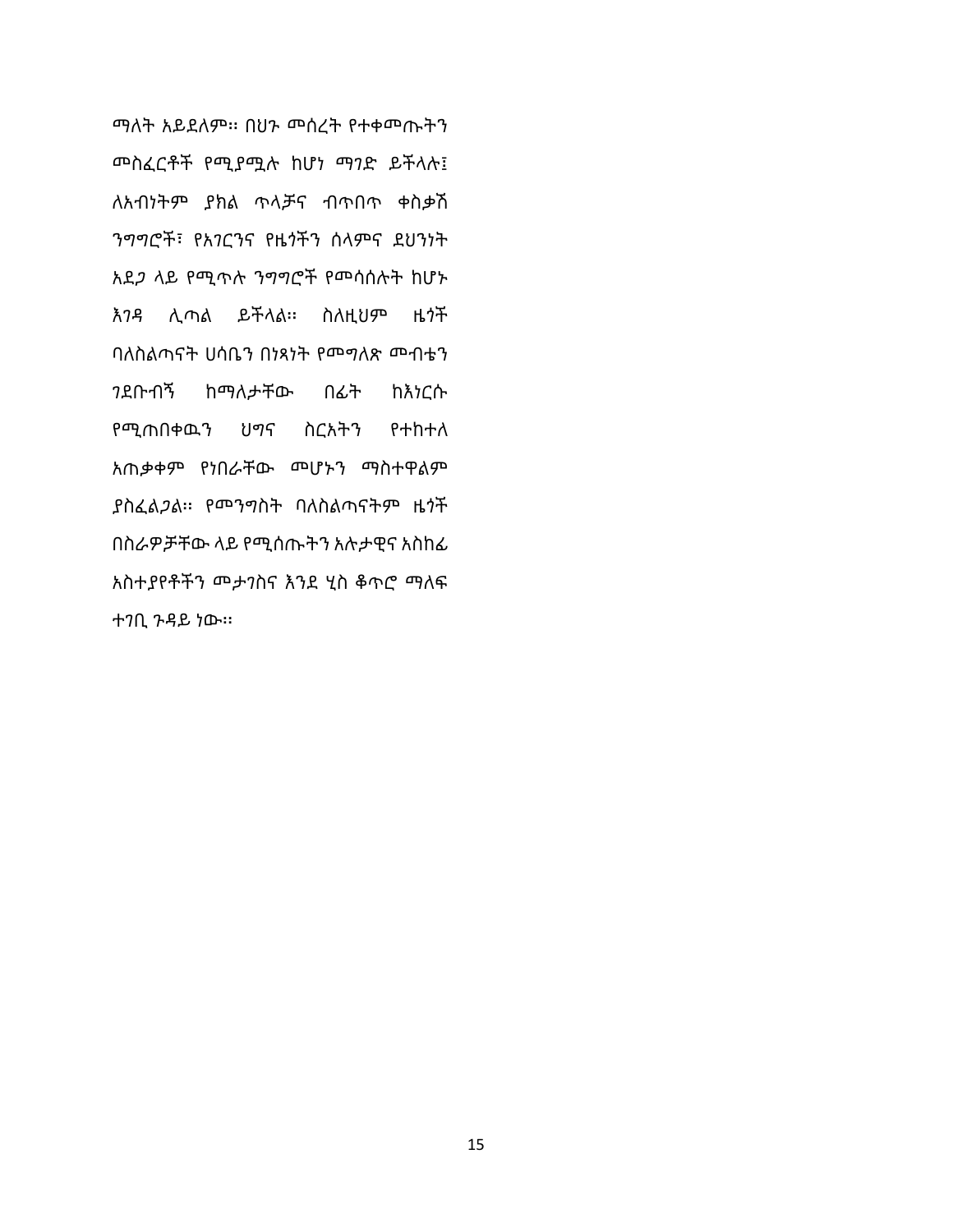ማለት አይደለም፡፡ በህጉ መሰረት የተቀመጡትን መስፈርቶች የሚያሟሉ ከሆነ ማገድ ይችላሉ፤ ለአብነትም ያክል ጥላቻና ብጥበጥ ቀስቃሽ ንግግሮች፣ የአገርንና የዜጎችን ሰላምና ደህንነት አደጋ ላይ የሚጥሉ ንግግሮች የመሳሰሉት ከሆኑ እገዳ ሊጣል ይችላል፡፡ ስለዚህም ዜጎች ባለስልጣናት ሀሳቤን በነጻነት የመግለጽ መብቴን ገደቡብኝ ከማለታቸው በፊት ከእነርሱ የሚጠበቀዉን ህግና ስርአትን የተከተለ አጠቃቀም የነበራቸው መሆኑን ማስተዋልም ያስፈልጋል፡፡ የመንግስት ባለስልጣናትም ዜጎች በስራዎቻቸው ላይ የሚሰጡትን አሉታዊና አስከፊ አስተያየቶችን መታገስና እንደ ሂስ ቆጥሮ ማለፍ ተገቢ ጉዳይ ነው፡፡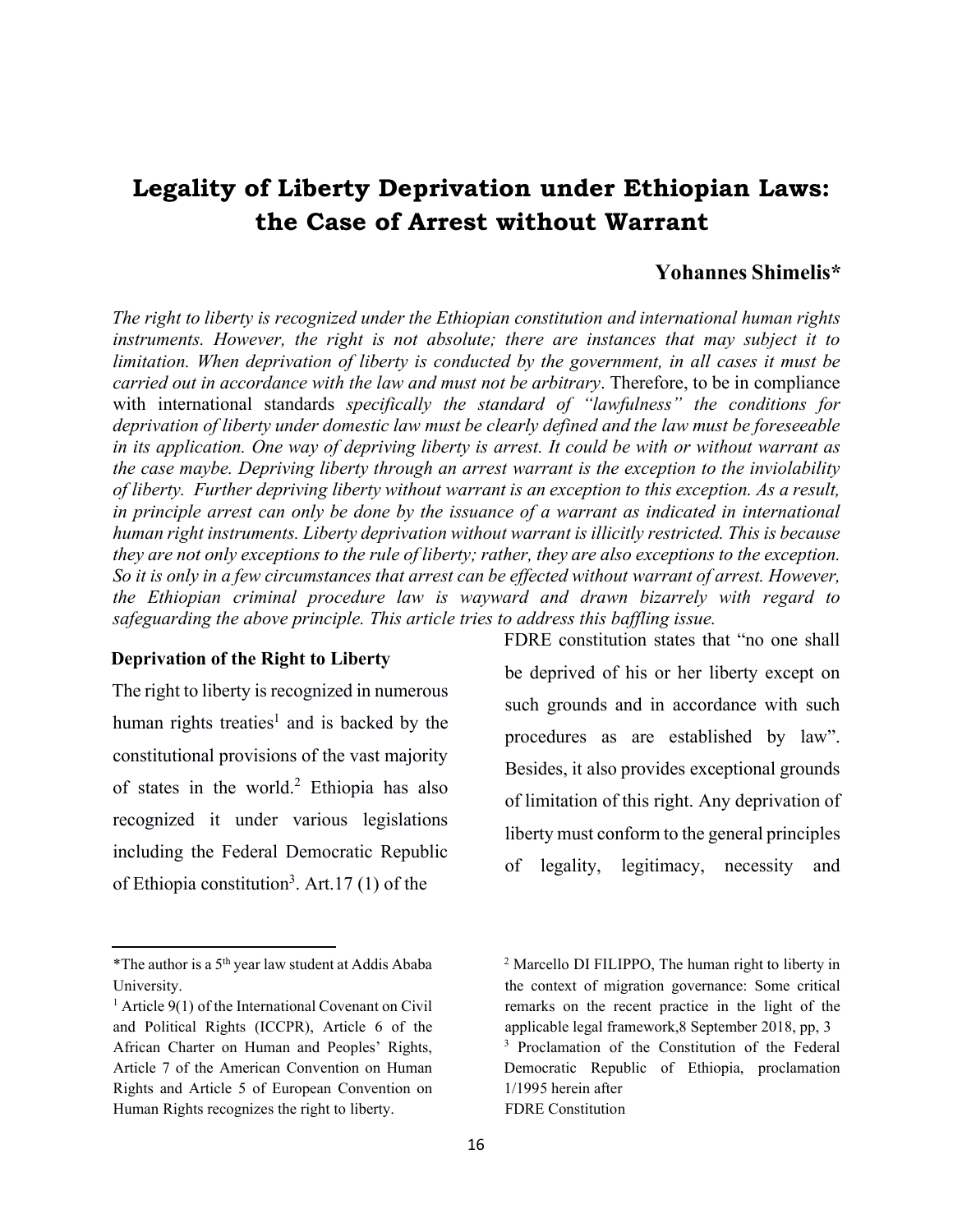## **Legality of Liberty Deprivation under Ethiopian Laws: the Case of Arrest without Warrant**

## **Yohannes Shimelis\***

*The right to liberty is recognized under the Ethiopian constitution and international human rights instruments. However, the right is not absolute; there are instances that may subject it to limitation. When deprivation of liberty is conducted by the government, in all cases it must be carried out in accordance with the law and must not be arbitrary*. Therefore, to be in compliance with international standards *specifically the standard of "lawfulness" the conditions for deprivation of liberty under domestic law must be clearly defined and the law must be foreseeable in its application. One way of depriving liberty is arrest. It could be with or without warrant as the case maybe. Depriving liberty through an arrest warrant is the exception to the inviolability of liberty. Further depriving liberty without warrant is an exception to this exception. As a result, in principle arrest can only be done by the issuance of a warrant as indicated in international human right instruments. Liberty deprivation without warrant is illicitly restricted. This is because they are not only exceptions to the rule of liberty; rather, they are also exceptions to the exception. So it is only in a few circumstances that arrest can be effected without warrant of arrest. However, the Ethiopian criminal procedure law is wayward and drawn bizarrely with regard to safeguarding the above principle. This article tries to address this baffling issue.* 

#### **Deprivation of the Right to Liberty**

The right to liberty is recognized in numerous human rights treaties<sup>1</sup> and is backed by the constitutional provisions of the vast majority of states in the world.<sup>2</sup> Ethiopia has also recognized it under various legislations including the Federal Democratic Republic of Ethiopia constitution<sup>3</sup>. Art. 17 (1) of the

FDRE constitution states that "no one shall be deprived of his or her liberty except on such grounds and in accordance with such procedures as are established by law". Besides, it also provides exceptional grounds of limitation of this right. Any deprivation of liberty must conform to the general principles of legality, legitimacy, necessity and

<sup>\*</sup>The author is a  $5<sup>th</sup>$  year law student at Addis Ababa University.

 $1$  Article 9(1) of the International Covenant on Civil and Political Rights (ICCPR), Article 6 of the African Charter on Human and Peoples' Rights, Article 7 of the American Convention on Human Rights and Article 5 of European Convention on Human Rights recognizes the right to liberty.

<sup>2</sup> Marcello DI FILIPPO, The human right to liberty in the context of migration governance: Some critical remarks on the recent practice in the light of the applicable legal framework,8 September 2018, pp, 3 <sup>3</sup> Proclamation of the Constitution of the Federal Democratic Republic of Ethiopia, proclamation 1/1995 herein after FDRE Constitution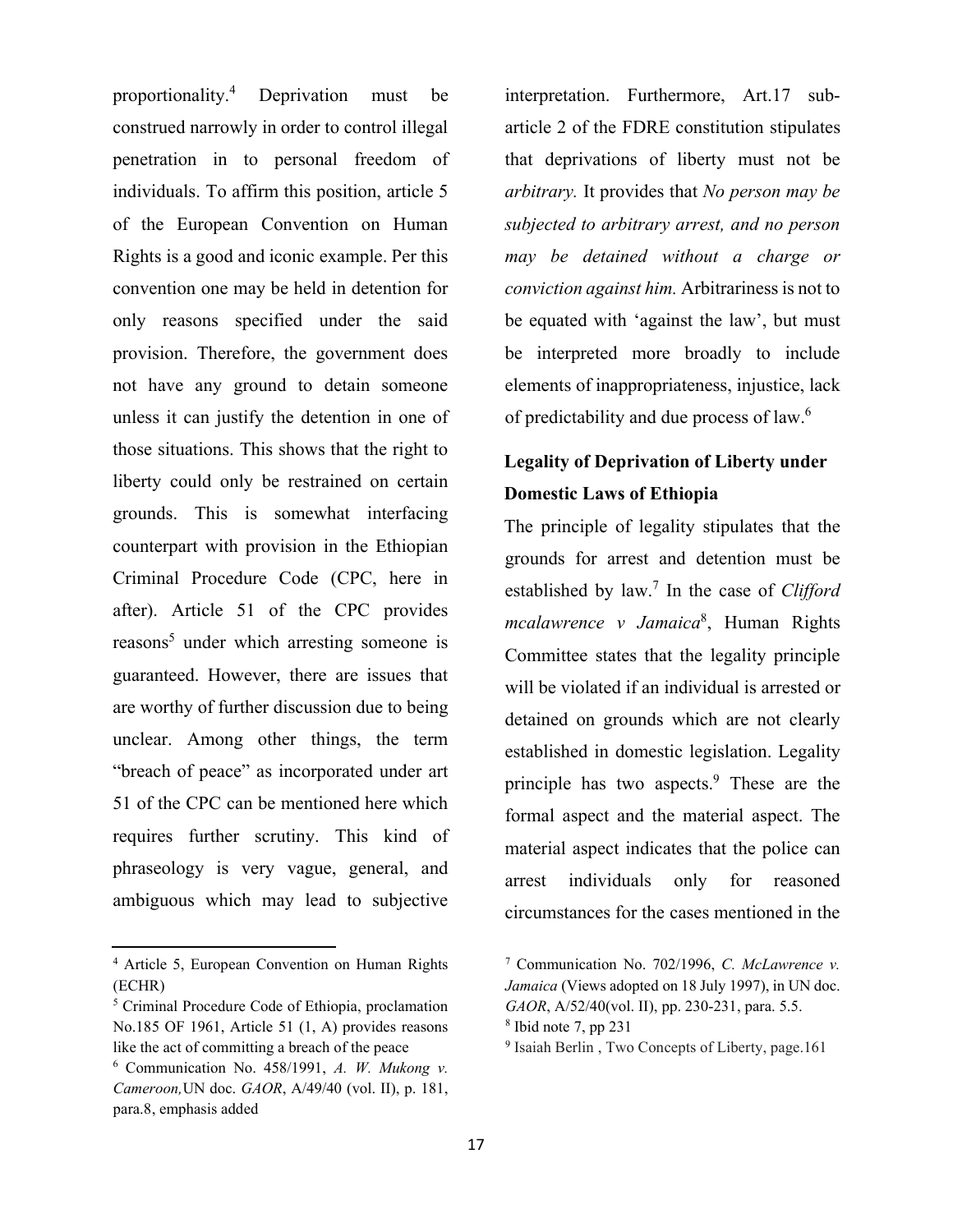proportionality.<sup>4</sup> Deprivation must be construed narrowly in order to control illegal penetration in to personal freedom of individuals. To affirm this position, article 5 of the European Convention on Human Rights is a good and iconic example. Per this convention one may be held in detention for only reasons specified under the said provision. Therefore, the government does not have any ground to detain someone unless it can justify the detention in one of those situations. This shows that the right to liberty could only be restrained on certain grounds. This is somewhat interfacing counterpart with provision in the Ethiopian Criminal Procedure Code (CPC, here in after). Article 51 of the CPC provides reasons<sup>5</sup> under which arresting someone is guaranteed. However, there are issues that are worthy of further discussion due to being unclear. Among other things, the term "breach of peace" as incorporated under art 51 of the CPC can be mentioned here which requires further scrutiny. This kind of phraseology is very vague, general, and ambiguous which may lead to subjective

interpretation. Furthermore, Art.17 subarticle 2 of the FDRE constitution stipulates that deprivations of liberty must not be *arbitrary.* It provides that *No person may be subjected to arbitrary arrest, and no person may be detained without a charge or conviction against him.* Arbitrariness is not to be equated with 'against the law', but must be interpreted more broadly to include elements of inappropriateness, injustice, lack of predictability and due process of law.6

## **Legality of Deprivation of Liberty under Domestic Laws of Ethiopia**

The principle of legality stipulates that the grounds for arrest and detention must be established by law.7 In the case of *Clifford mcalawrence v Jamaica*<sup>8</sup> , Human Rights Committee states that the legality principle will be violated if an individual is arrested or detained on grounds which are not clearly established in domestic legislation. Legality principle has two aspects. $9$  These are the formal aspect and the material aspect. The material aspect indicates that the police can arrest individuals only for reasoned circumstances for the cases mentioned in the

<sup>4</sup> Article 5, European Convention on Human Rights (ECHR)

<sup>5</sup> Criminal Procedure Code of Ethiopia, proclamation No.185 OF 1961, Article 51 (1, A) provides reasons like the act of committing a breach of the peace

<sup>6</sup> Communication No. 458/1991, *A. W. Mukong v. Cameroon,*UN doc. *GAOR*, A/49/40 (vol. II), p. 181, para.8, emphasis added

<sup>7</sup> Communication No. 702/1996, *C. McLawrence v. Jamaica* (Views adopted on 18 July 1997), in UN doc. *GAOR*, A/52/40(vol. II), pp. 230-231, para. 5.5. <sup>8</sup> Ibid note 7, pp 231

<sup>9</sup> Isaiah Berlin , Two Concepts of Liberty, page.161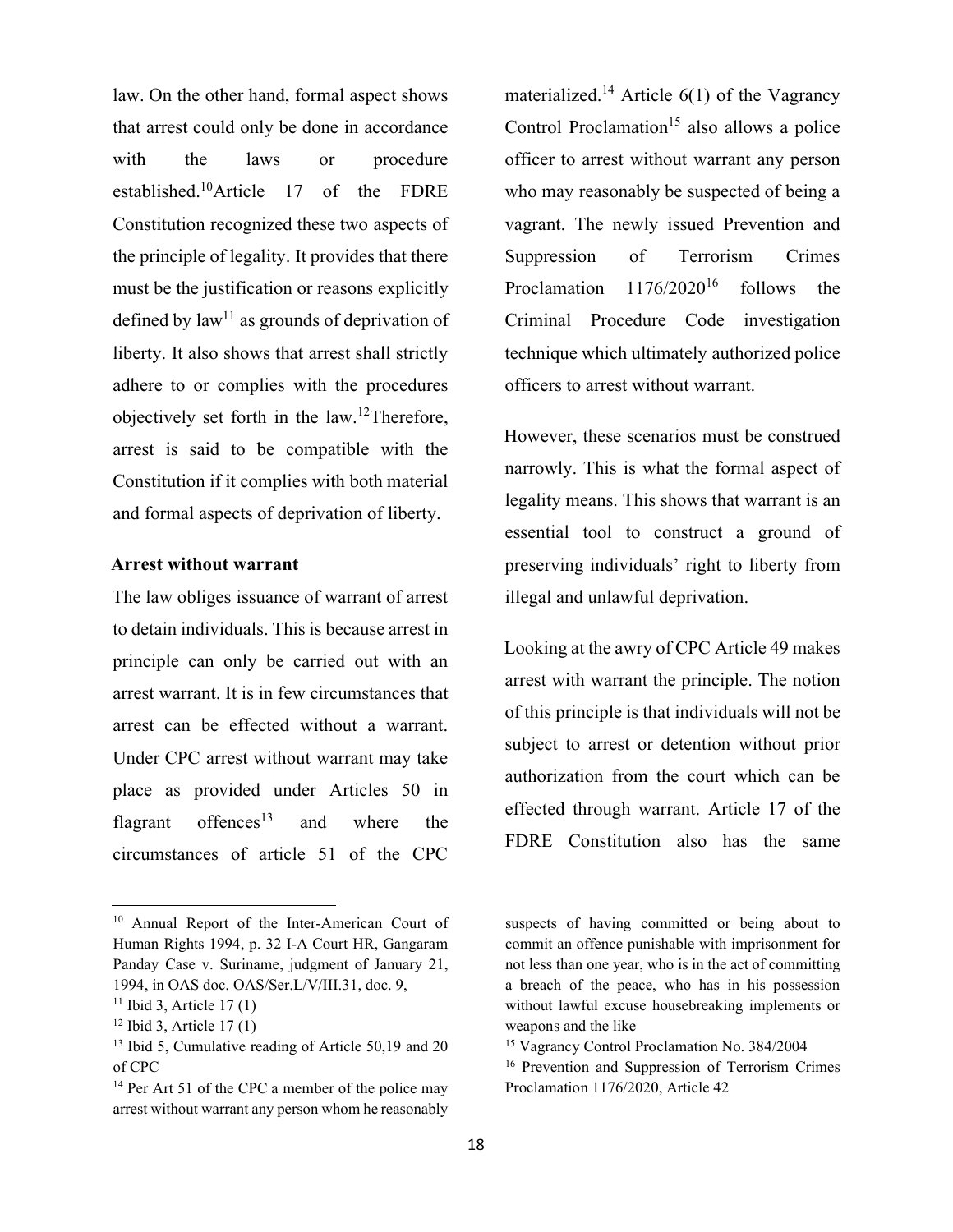law. On the other hand, formal aspect shows that arrest could only be done in accordance with the laws or procedure established.10Article 17 of the FDRE Constitution recognized these two aspects of the principle of legality. It provides that there must be the justification or reasons explicitly defined by  $law^{11}$  as grounds of deprivation of liberty. It also shows that arrest shall strictly adhere to or complies with the procedures objectively set forth in the law.12Therefore, arrest is said to be compatible with the Constitution if it complies with both material and formal aspects of deprivation of liberty.

### **Arrest without warrant**

The law obliges issuance of warrant of arrest to detain individuals. This is because arrest in principle can only be carried out with an arrest warrant. It is in few circumstances that arrest can be effected without a warrant. Under CPC arrest without warrant may take place as provided under Articles 50 in flagrant offences<sup>13</sup> and where the circumstances of article 51 of the CPC

materialized.<sup>14</sup> Article  $6(1)$  of the Vagrancy Control Proclamation<sup>15</sup> also allows a police officer to arrest without warrant any person who may reasonably be suspected of being a vagrant. The newly issued Prevention and Suppression of Terrorism Crimes Proclamation 1176/2020<sup>16</sup> follows the Criminal Procedure Code investigation technique which ultimately authorized police officers to arrest without warrant.

However, these scenarios must be construed narrowly. This is what the formal aspect of legality means. This shows that warrant is an essential tool to construct a ground of preserving individuals' right to liberty from illegal and unlawful deprivation.

Looking at the awry of CPC Article 49 makes arrest with warrant the principle. The notion of this principle is that individuals will not be subject to arrest or detention without prior authorization from the court which can be effected through warrant. Article 17 of the FDRE Constitution also has the same

<sup>10</sup> Annual Report of the Inter-American Court of Human Rights 1994, p. 32 I-A Court HR, Gangaram Panday Case v. Suriname, judgment of January 21, 1994, in OAS doc. OAS/Ser.L/V/III.31, doc. 9,

 $11$  Ibid 3, Article 17(1)

 $12$  Ibid 3, Article 17(1)

<sup>&</sup>lt;sup>13</sup> Ibid 5, Cumulative reading of Article 50,19 and 20 of CPC

<sup>&</sup>lt;sup>14</sup> Per Art 51 of the CPC a member of the police may arrest without warrant any person whom he reasonably

suspects of having committed or being about to commit an offence punishable with imprisonment for not less than one year, who is in the act of committing a breach of the peace, who has in his possession without lawful excuse housebreaking implements or weapons and the like

<sup>15</sup> Vagrancy Control Proclamation No. 384/2004

<sup>16</sup> Prevention and Suppression of Terrorism Crimes Proclamation 1176/2020, Article 42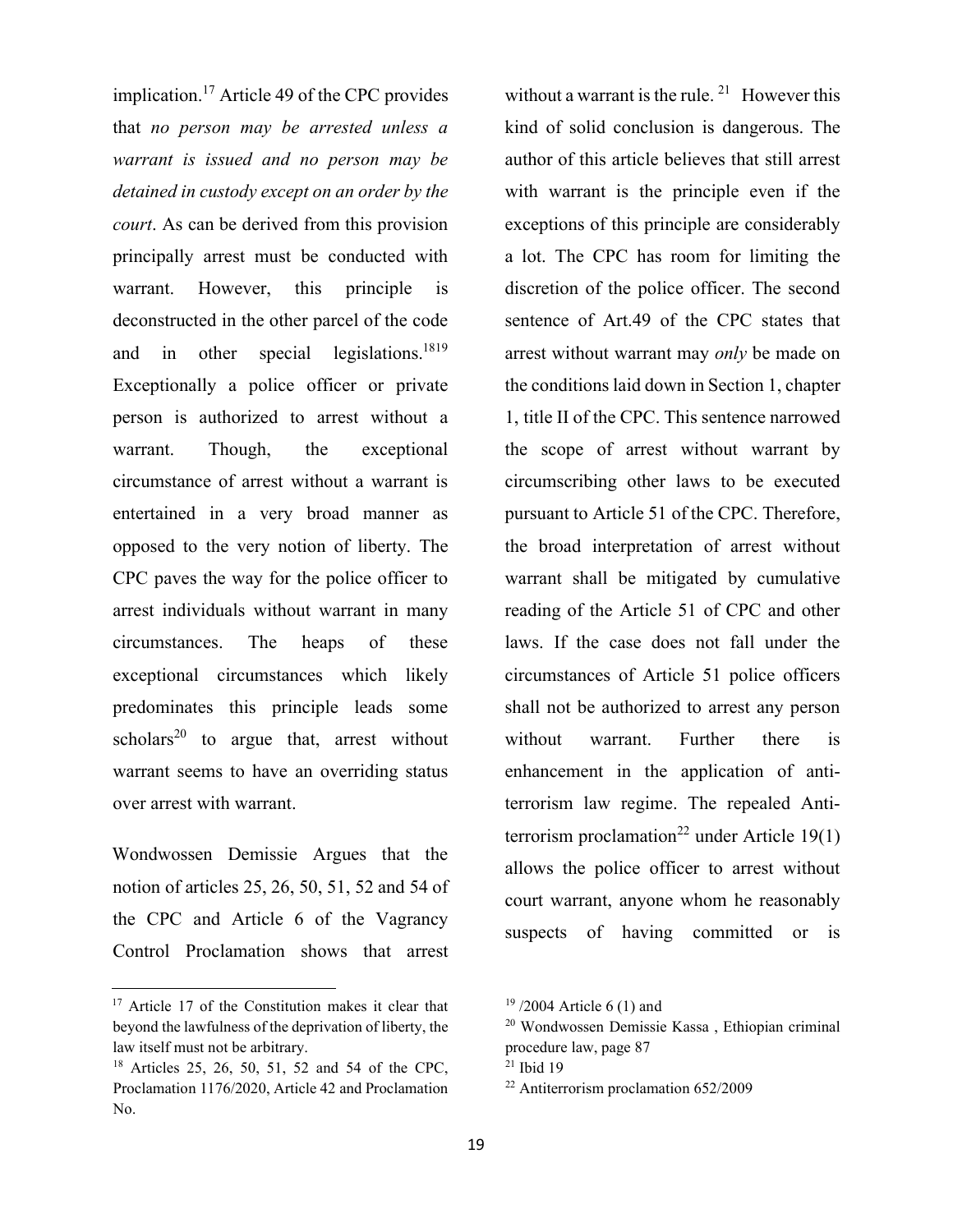implication.<sup>17</sup> Article 49 of the CPC provides that *no person may be arrested unless a warrant is issued and no person may be detained in custody except on an order by the court*. As can be derived from this provision principally arrest must be conducted with warrant. However, this principle is deconstructed in the other parcel of the code and in other special legislations.<sup>1819</sup> Exceptionally a police officer or private person is authorized to arrest without a warrant. Though, the exceptional circumstance of arrest without a warrant is entertained in a very broad manner as opposed to the very notion of liberty. The CPC paves the way for the police officer to arrest individuals without warrant in many circumstances. The heaps of these exceptional circumstances which likely predominates this principle leads some scholars<sup>20</sup> to argue that, arrest without warrant seems to have an overriding status over arrest with warrant.

Wondwossen Demissie Argues that the notion of articles 25, 26, 50, 51, 52 and 54 of the CPC and Article 6 of the Vagrancy Control Proclamation shows that arrest without a warrant is the rule. <sup>21</sup> However this kind of solid conclusion is dangerous. The author of this article believes that still arrest with warrant is the principle even if the exceptions of this principle are considerably a lot. The CPC has room for limiting the discretion of the police officer. The second sentence of Art.49 of the CPC states that arrest without warrant may *only* be made on the conditions laid down in Section 1, chapter 1, title II of the CPC. This sentence narrowed the scope of arrest without warrant by circumscribing other laws to be executed pursuant to Article 51 of the CPC. Therefore, the broad interpretation of arrest without warrant shall be mitigated by cumulative reading of the Article 51 of CPC and other laws. If the case does not fall under the circumstances of Article 51 police officers shall not be authorized to arrest any person without warrant. Further there is enhancement in the application of antiterrorism law regime. The repealed Antiterrorism proclamation<sup>22</sup> under Article 19(1) allows the police officer to arrest without court warrant, anyone whom he reasonably suspects of having committed or is

<sup>&</sup>lt;sup>17</sup> Article 17 of the Constitution makes it clear that beyond the lawfulness of the deprivation of liberty, the law itself must not be arbitrary.

<sup>18</sup> Articles 25, 26, 50, 51, 52 and 54 of the CPC, Proclamation 1176/2020, Article 42 and Proclamation No.

 $19/2004$  Article 6 (1) and

<sup>20</sup> Wondwossen Demissie Kassa , Ethiopian criminal procedure law, page 87

<sup>21</sup> Ibid 19

<sup>22</sup> Antiterrorism proclamation 652/2009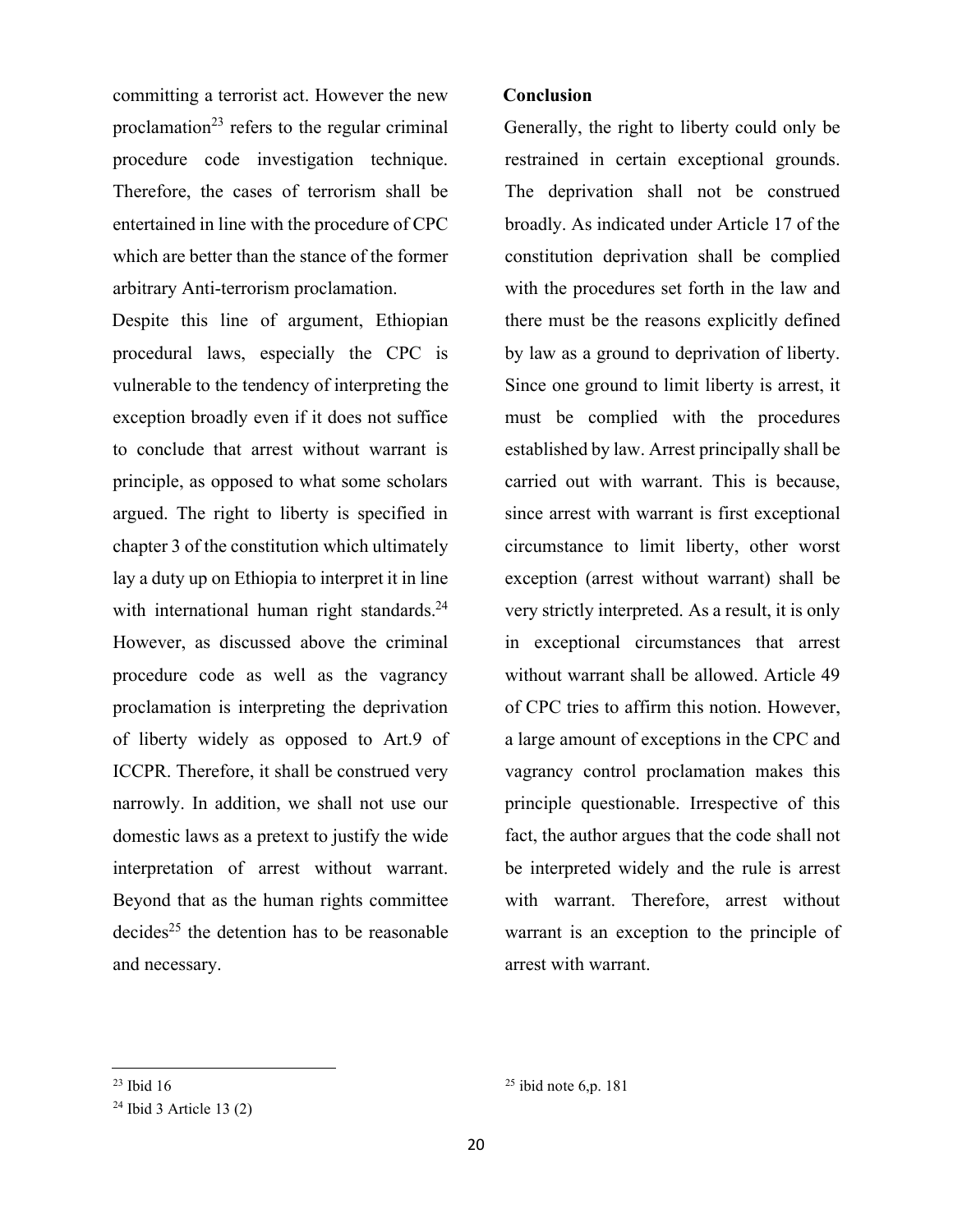committing a terrorist act. However the new proclamation<sup>23</sup> refers to the regular criminal procedure code investigation technique. Therefore, the cases of terrorism shall be entertained in line with the procedure of CPC which are better than the stance of the former arbitrary Anti-terrorism proclamation.

Despite this line of argument, Ethiopian procedural laws, especially the CPC is vulnerable to the tendency of interpreting the exception broadly even if it does not suffice to conclude that arrest without warrant is principle, as opposed to what some scholars argued. The right to liberty is specified in chapter 3 of the constitution which ultimately lay a duty up on Ethiopia to interpret it in line with international human right standards.<sup>24</sup> However, as discussed above the criminal procedure code as well as the vagrancy proclamation is interpreting the deprivation of liberty widely as opposed to Art.9 of ICCPR. Therefore, it shall be construed very narrowly. In addition, we shall not use our domestic laws as a pretext to justify the wide interpretation of arrest without warrant. Beyond that as the human rights committee decides<sup>25</sup> the detention has to be reasonable and necessary.

#### **Conclusion**

Generally, the right to liberty could only be restrained in certain exceptional grounds. The deprivation shall not be construed broadly. As indicated under Article 17 of the constitution deprivation shall be complied with the procedures set forth in the law and there must be the reasons explicitly defined by law as a ground to deprivation of liberty. Since one ground to limit liberty is arrest, it must be complied with the procedures established by law. Arrest principally shall be carried out with warrant. This is because, since arrest with warrant is first exceptional circumstance to limit liberty, other worst exception (arrest without warrant) shall be very strictly interpreted. As a result, it is only in exceptional circumstances that arrest without warrant shall be allowed. Article 49 of CPC tries to affirm this notion. However, a large amount of exceptions in the CPC and vagrancy control proclamation makes this principle questionable. Irrespective of this fact, the author argues that the code shall not be interpreted widely and the rule is arrest with warrant. Therefore, arrest without warrant is an exception to the principle of arrest with warrant.

 $23$  Ibid 16

 $24$  Ibid 3 Article 13 (2)

 $25$  ibid note 6,p. 181